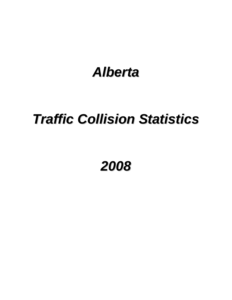# *Alberta*

# *Traffic Collision Statistics*

*2008*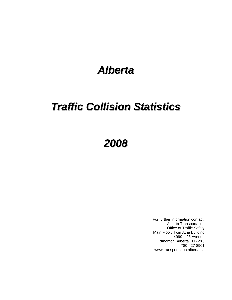## *Alberta*

## *Traffic Collision Statistics*

## *2008*

For further information contact: Alberta Transportation Office of Traffic Safety Main Floor, Twin Atria Building 4999 – 98 Avenue Edmonton, Alberta T6B 2X3 780-427-8901 www.transportation.alberta.ca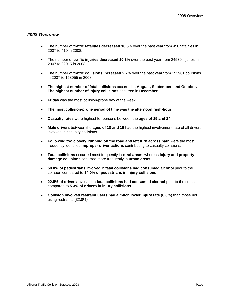#### *2008 Overview*

- The number of **traffic fatalities decreased 10.5%** over the past year from 458 fatalities in 2007 to 410 in 2008.
- The number of **traffic injuries decreased 10.3%** over the past year from 24530 injuries in 2007 to 22015 in 2008.
- The number of **traffic collisions increased 2.7%** over the past year from 153901 collisions in 2007 to 158055 in 2008.
- **The highest number of fatal collisions** occurred in **August, September, and October. The highest number of injury collisions** occurred in **December**.
- **Friday** was the most collision-prone day of the week.
- **The most collision-prone period of time was the afternoon rush-hour**.
- **Casualty rates** were highest for persons between the **ages of 15 and 24**.
- **Male drivers** between the **ages of 18 and 19** had the highest involvement rate of all drivers involved in casualty collisions.
- **Following too closely, running off the road and left turn across path** were the most frequently identified **improper driver actions** contributing to casualty collisions.
- **Fatal collisions** occurred most frequently in **rural areas**, whereas **injury and property damage collisions** occurred more frequently in **urban areas**.
- **50.0% of pedestrians** involved in **fatal collisions had consumed alcohol** prior to the collision compared to **14.0% of pedestrians in injury collisions**.
- **22.5% of drivers** involved in **fatal collisions had consumed alcohol** prior to the crash compared to **5.3% of drivers in injury collisions**.
- **Collision involved restraint users had a much lower injury rate** (8.0%) than those not using restraints (32.8%)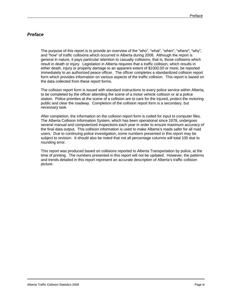#### *Preface*

 The purpose of this report is to provide an overview of the "who", "what", "when", "where", "why", and "how" of traffic collisions which occurred in Alberta during 2008. Although the report is general in nature, it pays particular attention to casualty collisions, that is, those collisions which result in death or injury. Legislation in Alberta requires that a traffic collision, which results in either death, injury or property damage to an apparent extent of \$1000.00 or more, be reported immediately to an authorized peace officer. The officer completes a standardized collision report form which provides information on various aspects of the traffic collision. This report is based on the data collected from these report forms.

 The collision report form is issued with standard instructions to every police service within Alberta, to be completed by the officer attending the scene of a motor vehicle collision or at a police station. Police priorities at the scene of a collision are to care for the injured, protect the motoring public and clear the roadway. Completion of the collision report form is a secondary, but necessary task.

 After completion, the information on the collision report form is coded for input to computer files. The Alberta Collision Information System, which has been operational since 1978, undergoes several manual and computerized inspections each year in order to ensure maximum accuracy of the final data output. This collision information is used to make Alberta's roads safer for all road users. Due to continuing police investigation, some numbers presented in this report may be subject to revision. It should also be noted that not all percentage columns will total 100 due to rounding error.

 This report was produced based on collisions reported to Alberta Transportation by police, at the time of printing. The numbers presented in this report will not be updated. However, the patterns and trends detailed in this report represent an accurate description of Alberta's traffic collision picture.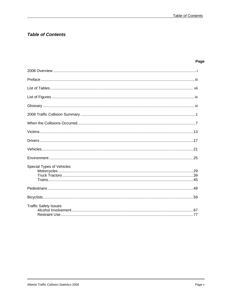## **Table of Contents**

#### Page

| Special Types of Vehicles |
|---------------------------|
|                           |
|                           |
|                           |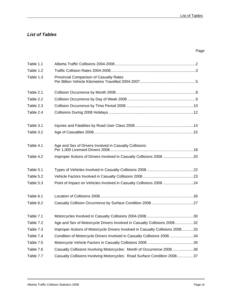## *List of Tables*

## Page

| Table 1.1 |                                                                               |
|-----------|-------------------------------------------------------------------------------|
| Table 1.2 |                                                                               |
| Table 1.3 | Provincial Comparison of Casualty Rates                                       |
| Table 2.1 |                                                                               |
| Table 2.2 |                                                                               |
| Table 2.3 |                                                                               |
| Table 2.4 |                                                                               |
| Table 3.1 |                                                                               |
| Table 3.2 |                                                                               |
| Table 4.1 | Age and Sex of Drivers Involved in Casualty Collisions:                       |
| Table 4.2 | Improper Actions of Drivers Involved in Casualty Collisions 2008 20           |
| Table 5.1 |                                                                               |
| Table 5.2 |                                                                               |
| Table 5.3 | Point of Impact on Vehicles Involved in Casualty Collisions 2008 24           |
| Table 6.1 |                                                                               |
| Table 6.2 |                                                                               |
| Table 7.1 |                                                                               |
| Table 7.2 | Age and Sex of Motorcycle Drivers Involved in Casualty Collisions 200832      |
| Table 7.3 | Improper Actions of Motorcycle Drivers Involved in Casualty Collisions 200833 |
| Table 7.4 | Condition of Motorcycle Drivers Involved in Casualty Collisions 2008 34       |
| Table 7.5 |                                                                               |
| Table 7.6 | Casualty Collisions Involving Motorcycles: Month of Occurrence 200836         |
| Table 7.7 | Casualty Collisions Involving Motorcycles: Road Surface Condition 200837      |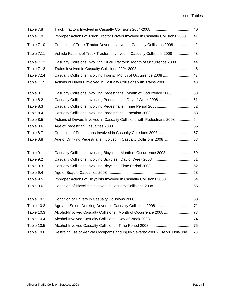| Table 7.8         |                                                                                  |  |
|-------------------|----------------------------------------------------------------------------------|--|
| Table 7.9         | Improper Actions of Truck Tractor Drivers Involved in Casualty Collisions 200841 |  |
| <b>Table 7.10</b> | Condition of Truck Tractor Drivers Involved in Casualty Collisions 200842        |  |
| <b>Table 7.11</b> | Vehicle Factors of Truck Tractors Involved in Casualty Collisions 200843         |  |
| Table 7.12        | Casualty Collisions Involving Truck Tractors: Month of Occurrence 2008 44        |  |
| <b>Table 7.13</b> |                                                                                  |  |
| Table 7.14        | Casualty Collisions Involving Trains: Month of Occurrence 2008 47                |  |
| <b>Table 7.15</b> | Actions of Drivers Involved in Casualty Collisions with Trains 2008 48           |  |
| Table 8.1         | Casualty Collisions Involving Pedestrians: Month of Occurrence 2008 50           |  |
| Table 8.2         | Casualty Collisions Involving Pedestrians: Day of Week 2008 51                   |  |
| Table 8.3         | Casualty Collisions Involving Pedestrians: Time Period 200852                    |  |
| Table 8.4         |                                                                                  |  |
| Table 8.5         | Actions of Drivers Involved in Casualty Collisions with Pedestrians 2008 54      |  |
| Table 8.6         |                                                                                  |  |
| Table 8.7         | Condition of Pedestrians Involved in Casualty Collisions 2008 57                 |  |
| Table 8.8         | Age of Drinking Pedestrians Involved in Casualty Collisions 2008 58              |  |
| Table 9.1         |                                                                                  |  |
| Table 9.2         |                                                                                  |  |
| Table 9.3         |                                                                                  |  |
| Table 9.4         |                                                                                  |  |
| Table 9.5         | Improper Actions of Bicyclists Involved in Casualty Collisions 200864            |  |
| Table 9.6         |                                                                                  |  |
| Table 10.1        |                                                                                  |  |
| Table 10.2        |                                                                                  |  |
| Table 10.3        |                                                                                  |  |
| Table 10.4        |                                                                                  |  |
| Table 10.5        |                                                                                  |  |
| Table 10.6        | Restraint Use of Vehicle Occupants and Injury Severity 2008 (Use vs. Non-Use) 78 |  |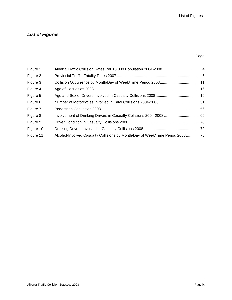## *List of Figures*

#### Page

| Figure 1  |                                                                               |  |
|-----------|-------------------------------------------------------------------------------|--|
| Figure 2  |                                                                               |  |
| Figure 3  |                                                                               |  |
| Figure 4  |                                                                               |  |
| Figure 5  |                                                                               |  |
| Figure 6  |                                                                               |  |
| Figure 7  |                                                                               |  |
| Figure 8  |                                                                               |  |
| Figure 9  |                                                                               |  |
| Figure 10 |                                                                               |  |
| Figure 11 | Alcohol-Involved Casualty Collisions by Month/Day of Week/Time Period 2008 76 |  |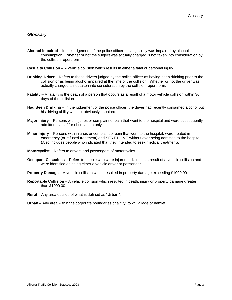#### *Glossary*

- **Alcohol Impaired** In the judgement of the police officer, driving ability was impaired by alcohol consumption. Whether or not the subject was actually charged is not taken into consideration by the collision report form.
- **Casualty Collision** A vehicle collision which results in either a fatal or personal injury.
- **Drinking Driver** Refers to those drivers judged by the police officer as having been drinking prior to the collision or as being alcohol impaired at the time of the collision. Whether or not the driver was actually charged is not taken into consideration by the collision report form.
- **Fatality** A fatality is the death of a person that occurs as a result of a motor vehicle collision within 30 days of the collision.
- **Had Been Drinking** In the judgement of the police officer, the driver had recently consumed alcohol but his driving ability was not obviously impaired.
- **Major Injury** Persons with injuries or complaint of pain that went to the hospital and were subsequently admitted even if for observation only.
- **Minor Injury** Persons with injuries or complaint of pain that went to the hospital, were treated in emergency (or refused treatment) and SENT HOME without ever being admitted to the hospital. (Also includes people who indicated that they intended to seek medical treatment).
- **Motorcyclist** Refers to drivers and passengers of motorcycles.
- **Occupant Casualties** Refers to people who were injured or killed as a result of a vehicle collision and were identified as being either a vehicle driver or passenger.
- **Property Damage** A vehicle collision which resulted in property damage exceeding \$1000.00.
- **Reportable Collision** A vehicle collision which resulted in death, injury or property damage greater than \$1000.00.
- **Rural** Any area outside of what is defined as "**Urban**".
- **Urban** Any area within the corporate boundaries of a city, town, village or hamlet.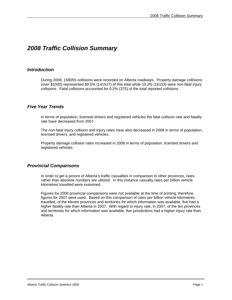## *2008 Traffic Collision Summary*

#### *Introduction*

 During 2008, 158055 collisions were recorded on Alberta roadways. Property damage collisions (over \$1000) represented 89.5% (141527) of this total while 10.2% (16153) were non-fatal injury collisions. Fatal collisions accounted for 0.2% (375) of the total reported collisions.

#### *Five Year Trends*

 In terms of population, licensed drivers and registered vehicles the fatal collision rate and fatality rate have decreased from 2007.

 The non-fatal injury collision and injury rates have also decreased in 2008 in terms of population, licensed drivers, and registered vehicles.

 Property damage collision rates increased in 2008 in terms of population, licensed drivers and registered vehicles.

#### *Provincial Comparisons*

 In order to get a picture of Alberta's traffic casualties in comparison to other provinces, rates rather than absolute numbers are utilized. In this instance casualty rates per billion vehicle kilometres travelled were examined.

 Figures for 2008 provincial comparisons were not available at the time of printing; therefore, figures for 2007 were used. Based on this comparison of rates per billion vehicle kilometres travelled, of the eleven provinces and territories for which information was available, five had a higher fatality rate than Alberta in 2007. With regard to injury rate, in 2007, of the ten provinces and territories for which information was available, five jurisdictions had a higher injury rate than Alberta.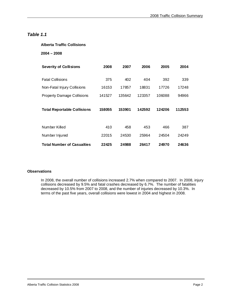#### *Table 1.1*

#### **Alberta Traffic Collisions**

#### **2004 – 2008**

| <b>Severity of Collisions</b>      | 2008   | 2007   | 2006   | 2005   | 2004   |
|------------------------------------|--------|--------|--------|--------|--------|
| <b>Fatal Collisions</b>            | 375    | 402    | 404    | 392    | 339    |
| Non-Fatal Injury Collisions        | 16153  | 17857  | 18831  | 17726  | 17248  |
| <b>Property Damage Collisions</b>  | 141527 | 135642 | 123357 | 106088 | 94966  |
| <b>Total Reportable Collisions</b> | 158055 | 153901 | 142592 | 124206 | 112553 |
| Number Killed                      | 410    | 458    | 453    | 466    | 387    |
| Number Injured                     | 22015  | 24530  | 25964  | 24504  | 24249  |
| <b>Total Number of Casualties</b>  | 22425  | 24988  | 26417  | 24970  | 24636  |

#### **Observations**

In 2008, the overall number of collisions increased 2.7% when compared to 2007. In 2008, injury collisions decreased by 9.5% and fatal crashes decreased by 6.7%. The number of fatalities decreased by 10.5% from 2007 to 2008, and the number of injuries decreased by 10.3%. In terms of the past five years, overall collisions were lowest in 2004 and highest in 2008.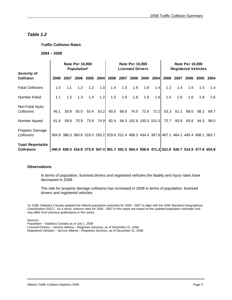#### *Table 1.2*

#### **Traffic Collision Rates**

#### **2004 – 2008**

|                                              |      |      | <b>Rate Per 10,000</b><br>Population* |      |           |      |      | <b>Rate Per 10,000</b><br><b>Licensed Drivers</b> |      |      |      |      | <b>Rate Per 10,000</b> | <b>Registered Vehicles</b>                                                                |      |
|----------------------------------------------|------|------|---------------------------------------|------|-----------|------|------|---------------------------------------------------|------|------|------|------|------------------------|-------------------------------------------------------------------------------------------|------|
| Severity of<br><b>Collision</b>              | 2008 | 2007 | 2006                                  | 2005 | 2004      | 2008 | 2007 | 2006                                              | 2005 | 2004 | 2008 | 2007 | 2006                   | 2005                                                                                      | 2004 |
| <b>Fatal Collisions</b>                      | 1.0  | 1.1  | 1.2                                   | 1.2  | 1.0       | 1.4  | 1.5  | 1.6                                               | 1.6  | 1.4  | 1.2  | 1.4  | 1.5                    | 1.5                                                                                       | 1.4  |
| Number Killed                                | 1.1  | 1.3  | 1.3                                   | 1.4  | 1.2       | 1.5  | 1.8  | 1.8                                               | 1.9  | 1.6  | 1.4  | 1.6  | 1.6                    | 1.8                                                                                       | 1.6  |
| Non-Fatal Injury<br>Collisions               | 45.1 | 50.9 | 55.0                                  |      | 53.4 53.2 | 60.5 | 68.6 | 74.5                                              | 72.6 | 72.2 | 53.3 | 61.1 | 68.0                   | 68.2                                                                                      | 69.7 |
| Number Injured                               | 61.4 | 69.9 | 75.9                                  | 73.8 | 74.9      | 82.4 |      | 94.3 102.8 100.3 101.5                            |      |      | 72.7 | 83.9 | 93.8                   | 94.3                                                                                      | 98.0 |
| <b>Property Damage</b><br>Collisions         |      |      |                                       |      |           |      |      |                                                   |      |      |      |      |                        | 394.8 386.3 360.6 319.3 293.2 529.8 521.4 488.3 434.4 397.6 467.1 464.2 445.4 408.1 383.7 |      |
| <b>Total Reportable</b><br><b>Collisions</b> |      |      |                                       |      |           |      |      |                                                   |      |      |      |      |                        | 440.9 438.4 416.8 373.9 347.4 591.7 591.5 564.4 508.6 471.2 521.6 526.7 514.9 477.8 454.8 |      |

#### **Observations**

 In terms of population, licensed drivers and registered vehicles the fatality and injury rates have decreased in 2008.

 The rate for property damage collisions has increased in 2008 in terms of population, licensed drivers and registered vehicles.

\*In 2008, Statistics Canada updated the Alberta population estimates for 2004 - 2007 to align with the 2006 Standard Geographical Classification (SGC). As a result, collision rates for 2004 - 2007 in this report are based on the updated population estimates and may differ from previous publications in this series.

Sources:

 $\overline{a}$ 

Population – Statistics Canada as of July 1, 2008 Licensed Drivers – Service Alberta – Registries Services, as of December 31, 2008 Registered Vehicles – Service Alberta – Registries Services, as of December 31, 2008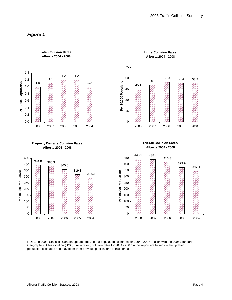## *Figure 1*



NOTE: In 2008, Statistics Canada updated the Alberta population estimates for 2004 - 2007 to align with the 2006 Standard Geographical Classification (SGC). As a result, collision rates for 2004 - 2007 in this report are based on the updated population estimates and may differ from previous publications in this series.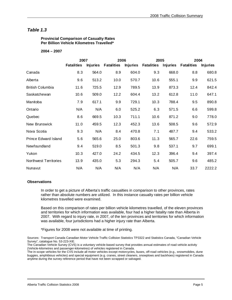#### *Table 1.3*

 **Provincial Comparison of Casualty Rates Per Billion Vehicle Kilometres Travelled\*** 

#### **2004 – 2007**

|                             | 2007              |                 | 2006              |                 | 2005              |                 | 2004              |                 |  |
|-----------------------------|-------------------|-----------------|-------------------|-----------------|-------------------|-----------------|-------------------|-----------------|--|
|                             | <b>Fatalities</b> | <b>Injuries</b> | <b>Fatalities</b> | <b>Injuries</b> | <b>Fatalities</b> | <b>Injuries</b> | <b>Fatalities</b> | <b>Injuries</b> |  |
| Canada                      | 8.3               | 564.0           | 8.9               | 604.0           | 9.3               | 668.0           | 8.8               | 680.8           |  |
| Alberta                     | 9.6               | 513.2           | 10.0              | 570.7           | 10.6              | 555.1           | 9.9               | 621.5           |  |
| <b>British Columbia</b>     | 11.6              | 725.5           | 12.9              | 789.5           | 13.9              | 873.3           | 12.4              | 842.4           |  |
| Saskatchewan                | 10.6              | 509.0           | 12.2              | 604.4           | 13.2              | 612.8           | 11.0              | 647.1           |  |
| Manitoba                    | 7.9               | 617.1           | 9.9               | 729.1           | 10.3              | 788.4           | 9.5               | 890.8           |  |
| Ontario                     | N/A               | N/A             | 6.0               | 525.2           | 6.3               | 571.5           | 6.6               | 599.8           |  |
| Quebec                      | 8.6               | 669.5           | 10.3              | 711.1           | 10.6              | 871.2           | 9.0               | 778.0           |  |
| New Brunswick               | 11.0              | 459.5           | 12.3              | 452.3           | 13.6              | 508.5           | 9.6               | 572.9           |  |
| Nova Scotia                 | 9.3               | N/A             | 8.4               | 470.8           | 7.1               | 487.7           | 9.4               | 533.2           |  |
| <b>Prince Edward Island</b> | 5.6               | 565.6           | 25.0              | 803.6           | 11.3              | 565.7           | 22.6              | 759.5           |  |
| Newfoundland                | 9.4               | 519.0           | 8.5               | 501.3           | 9.8               | 537.1           | 9.7               | 699.1           |  |
| Yukon                       | 10.3              | 427.0           | 24.2              | 434.5           | 12.3              | 396.4           | 9.4               | 397.4           |  |
| Northwest Territories       | 13.9              | 435.0           | 5.3               | 294.3           | 5.4               | 505.7           | 9.6               | 485.2           |  |
| Nunavut                     | N/A               | N/A             | N/A               | N/A             | N/A               | N/A             | 33.7              | 2222.2          |  |

#### **Observations**

 In order to get a picture of Alberta's traffic casualties in comparison to other provinces, rates rather than absolute numbers are utilized. In this instance casualty rates per billion vehicle kilometres travelled were examined.

 Based on this comparison of rates per billion vehicle kilometres travelled, of the eleven provinces and territories for which information was available, four had a higher fatality rate than Alberta in 2007. With regard to injury rate, in 2007, of the ten provinces and territories for which information was available, four jurisdictions had a higher injury rate than Alberta.

\*Figures for 2008 were not available at time of printing.

Sources: Transport Canada Canadian Motor Vehicle Traffic Collision Statistics TP3322 and Statistics Canada, "Canadian Vehicle Survey", catalogue No. 53-223-XIE.

The Canadian Vehicle Survey (CVS) is a voluntary vehicle-based survey that provides annual estimates of road vehicle activity (Vehicle-kilometres and passenger-kilometres) of vehicles registered in Canada.

The in-scope vehicles for the CVS include all motor vehicles except motorcycles, buses, off-road vehicles (e.g., snowmobiles, dune buggies, amphibious vehicles) and special equipment (e.g. cranes, street cleaners, snowplows and backhoes) registered in Canada anytime during the survey reference period that have not been scrapped or salvaged.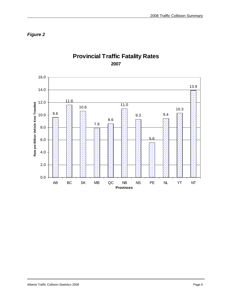*Figure 2* 



## **Provincial Traffic Fatality Rates 2007**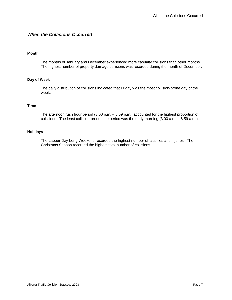#### *When the Collisions Occurred*

#### **Month**

 The months of January and December experienced more casualty collisions than other months. The highest number of property damage collisions was recorded during the month of December.

#### **Day of Week**

 The daily distribution of collisions indicated that Friday was the most collision-prone day of the week.

#### **Time**

 The afternoon rush hour period (3:00 p.m. – 6:59 p.m.) accounted for the highest proportion of collisions. The least collision-prone time period was the early morning (3:00 a.m. – 6:59 a.m.).

#### **Holidays**

 The Labour Day Long Weekend recorded the highest number of fatalities and injuries. The Christmas Season recorded the highest total number of collisions.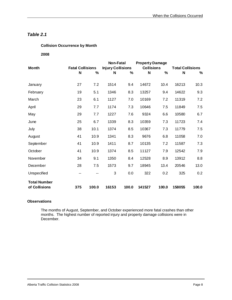#### **Collision Occurrence by Month**

 **2008** 

| <b>Month</b>        | <b>Fatal Collisions</b> |       | Non-Fatal<br><b>Injury Collisions</b> |       | <b>Property Damage</b><br><b>Collisions</b> |       | <b>Total Collisions</b> |       |
|---------------------|-------------------------|-------|---------------------------------------|-------|---------------------------------------------|-------|-------------------------|-------|
|                     | N                       | %     | N                                     | %     | N                                           | $\%$  | N                       | %     |
|                     |                         |       |                                       |       |                                             |       |                         |       |
| January             | 27                      | 7.2   | 1514                                  | 9.4   | 14672                                       | 10.4  | 16213                   | 10.3  |
| February            | 19                      | 5.1   | 1346                                  | 8.3   | 13257                                       | 9.4   | 14622                   | 9.3   |
| March               | 23                      | 6.1   | 1127                                  | 7.0   | 10169                                       | 7.2   | 11319                   | 7.2   |
| April               | 29                      | 7.7   | 1174                                  | 7.3   | 10646                                       | 7.5   | 11849                   | 7.5   |
| May                 | 29                      | 7.7   | 1227                                  | 7.6   | 9324                                        | 6.6   | 10580                   | 6.7   |
| June                | 25                      | 6.7   | 1339                                  | 8.3   | 10359                                       | 7.3   | 11723                   | 7.4   |
| July                | 38                      | 10.1  | 1374                                  | 8.5   | 10367                                       | 7.3   | 11779                   | 7.5   |
| August              | 41                      | 10.9  | 1341                                  | 8.3   | 9676                                        | 6.8   | 11058                   | 7.0   |
| September           | 41                      | 10.9  | 1411                                  | 8.7   | 10135                                       | 7.2   | 11587                   | 7.3   |
| October             | 41                      | 10.9  | 1374                                  | 8.5   | 11127                                       | 7.9   | 12542                   | 7.9   |
| November            | 34                      | 9.1   | 1350                                  | 8.4   | 12528                                       | 8.9   | 13912                   | 8.8   |
| December            | 28                      | 7.5   | 1573                                  | 9.7   | 18945                                       | 13.4  | 20546                   | 13.0  |
| Unspecified         | --                      | --    | 3                                     | 0.0   | 322                                         | 0.2   | 325                     | 0.2   |
| <b>Total Number</b> |                         |       |                                       |       |                                             |       |                         |       |
| of Collisions       | 375                     | 100.0 | 16153                                 | 100.0 | 141527                                      | 100.0 | 158055                  | 100.0 |

#### **Observations**

l

 The months of August, September, and October experienced more fatal crashes than other months. The highest number of reported injury and property damage collisions were in December.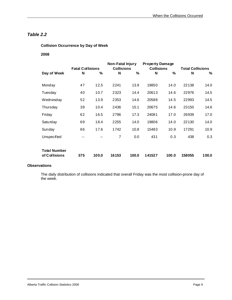**Collision Occurrence by Day of Week** 

#### **2008**

|                     |                         |       | Non-Fatal Injury  |       | <b>Property Damage</b> |       |                         |       |
|---------------------|-------------------------|-------|-------------------|-------|------------------------|-------|-------------------------|-------|
|                     | <b>Fatal Collisions</b> |       | <b>Collisions</b> |       | <b>Collisions</b>      |       | <b>Total Collisions</b> |       |
| Day of Week         | N                       | %     | N                 | %     | N                      | %     | N                       | %     |
|                     |                         |       |                   |       |                        |       |                         |       |
| Monday              | 47                      | 12.5  | 2241              | 13.9  | 19850                  | 14.0  | 22138                   | 14.0  |
| Tuesday             | 40                      | 10.7  | 2323              | 14.4  | 20613                  | 14.6  | 22976                   | 14.5  |
| Wednesday           | 52                      | 13.9  | 2353              | 14.6  | 20588                  | 14.5  | 22993                   | 14.5  |
| Thursday            | 39                      | 10.4  | 2436              | 15.1  | 20675                  | 14.6  | 23150                   | 14.6  |
| Friday              | 62                      | 16.5  | 2796              | 17.3  | 24081                  | 17.0  | 26939                   | 17.0  |
| Saturday            | 69                      | 18.4  | 2255              | 14.0  | 19806                  | 14.0  | 22130                   | 14.0  |
| Sunday              | 66                      | 17.6  | 1742              | 10.8  | 15483                  | 10.9  | 17291                   | 10.9  |
| Unspecified         | --                      |       | 7                 | 0.0   | 431                    | 0.3   | 438                     | 0.3   |
|                     |                         |       |                   |       |                        |       |                         |       |
| <b>Total Number</b> |                         |       |                   |       |                        |       |                         |       |
| of Collisions       | 375                     | 100.0 | 16153             | 100.0 | 141527                 | 100.0 | 158055                  | 100.0 |

#### **Observations**

 The daily distribution of collisions indicated that overall Friday was the most collision-prone day of the week.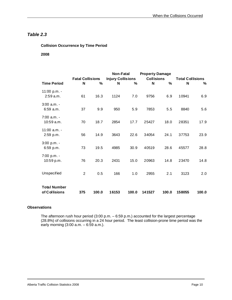#### **Collision Occurrence by Time Period**

#### **2008**

|                                      | <b>Fatal Collisions</b> |       | <b>Non-Fatal</b><br><b>Injury Collisions</b> |       | <b>Property Damage</b><br><b>Collisions</b> |       | <b>Total Collisions</b> |       |  |
|--------------------------------------|-------------------------|-------|----------------------------------------------|-------|---------------------------------------------|-------|-------------------------|-------|--|
| <b>Time Period</b>                   | N                       | %     | N                                            | %     | N                                           | $\%$  | N                       | ℅     |  |
| 11:00 p.m. -<br>2:59 a.m.            | 61                      | 16.3  | 1124                                         | 7.0   | 9756                                        | 6.9   | 10941                   | 6.9   |  |
| $3:00$ a.m. -<br>$6:59$ a.m.         | 37                      | 9.9   | 950                                          | 5.9   | 7853                                        | 5.5   | 8840                    | 5.6   |  |
| $7:00$ a.m. -<br>10:59 a.m.          | 70                      | 18.7  | 2854                                         | 17.7  | 25427                                       | 18.0  | 28351                   | 17.9  |  |
| $11:00$ a.m. -<br>2:59 p.m.          | 56                      | 14.9  | 3643                                         | 22.6  | 34054                                       | 24.1  | 37753                   | 23.9  |  |
| $3:00 p.m. -$<br>$6:59$ p.m.         | 73                      | 19.5  | 4985                                         | 30.9  | 40519                                       | 28.6  | 45577                   | 28.8  |  |
| 7:00 p.m. -<br>10:59 p.m.            | 76                      | 20.3  | 2431                                         | 15.0  | 20963                                       | 14.8  | 23470                   | 14.8  |  |
| Unspecified                          | $\overline{2}$          | 0.5   | 166                                          | 1.0   | 2955                                        | 2.1   | 3123                    | 2.0   |  |
| <b>Total Number</b><br>of Collisions | 375                     | 100.0 | 16153                                        | 100.0 | 141527                                      | 100.0 | 158055                  | 100.0 |  |

#### **Observations**

l

 The afternoon rush hour period (3:00 p.m. – 6:59 p.m.) accounted for the largest percentage (28.8%) of collisions occurring in a 24 hour period. The least collision-prone time period was the early morning (3:00 a.m. – 6:59 a.m.).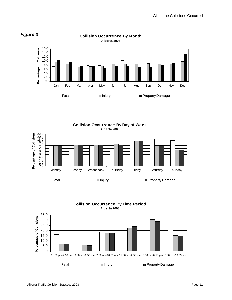

**Collision Occurrence By Month** 





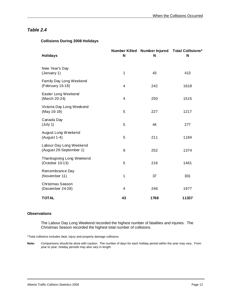#### **Collisions During 2008 Holidays**

| <b>Holidays</b>                                    | N  | N    | Number Killed Number Injured Total Collisions*<br>N |
|----------------------------------------------------|----|------|-----------------------------------------------------|
| New Year's Day<br>(January 1)                      | 1  | 43   | 413                                                 |
| Family Day Long Weekend<br>(February 15-18)        | 4  | 242  | 1618                                                |
| Easter Long Weekend<br>(March 20-24)               | 4  | 250  | 1515                                                |
| Victoria Day Long Weekend<br>(May 16-19)           | 5  | 227  | 1217                                                |
| Canada Day<br>(July 1)                             | 5  | 44   | 277                                                 |
| August Long Weekend<br>(August 1-4)                | 5  | 211  | 1184                                                |
| Labour Day Long Weekend<br>(August 29-September 1) | 9  | 252  | 1374                                                |
| Thanksgiving Long Weekend<br>(October 10-13)       | 5  | 216  | 1461                                                |
| Remembrance Day<br>(November 11)                   | 1  | 37   | 301                                                 |
| Christmas Season<br>(December 24-28)               | 4  | 246  | 1977                                                |
| <b>TOTAL</b>                                       | 43 | 1768 | 11337                                               |

#### **Observations**

l

 The Labour Day Long Weekend recorded the highest number of fatalities and injuries. The Christmas Season recorded the highest total number of collisions.

\*Total collisions includes fatal, injury and property damage collisions.

**Note:** Comparisons should be done with caution. The number of days for each holiday period within the year may vary. From year to year, holiday periods may also vary in length.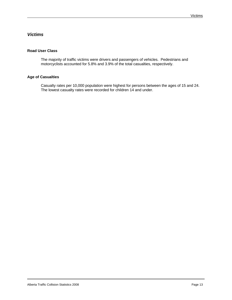#### *Victims*

#### **Road User Class**

 The majority of traffic victims were drivers and passengers of vehicles. Pedestrians and motorcyclists accounted for 5.8% and 3.9% of the total casualties, respectively.

#### **Age of Casualties**

 Casualty rates per 10,000 population were highest for persons between the ages of 15 and 24. The lowest casualty rates were recorded for children 14 and under.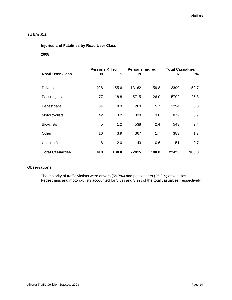## *Table 3.1*

#### **Injuries and Fatalities by Road User Class**

#### **2008**

| <b>Road User Class</b>  | <b>Persons Killed</b><br>N | %     | <b>Persons Injured</b><br>N | %     | <b>Total Casualties</b><br>N | ℅     |
|-------------------------|----------------------------|-------|-----------------------------|-------|------------------------------|-------|
|                         |                            |       |                             |       |                              |       |
| <b>Drivers</b>          | 228                        | 55.6  | 13162                       | 59.8  | 13390                        | 59.7  |
| Passengers              | 77                         | 18.8  | 5715                        | 26.0  | 5792                         | 25.8  |
| Pedestrians             | 34                         | 8.3   | 1260                        | 5.7   | 1294                         | 5.8   |
| Motorcyclists           | 42                         | 10.2  | 830                         | 3.8   | 872                          | 3.9   |
| <b>Bicyclists</b>       | 5                          | 1.2   | 538                         | 2.4   | 543                          | 2.4   |
| Other                   | 16                         | 3.9   | 367                         | 1.7   | 383                          | 1.7   |
| Unspecified             | 8                          | 2.0   | 143                         | 0.6   | 151                          | 0.7   |
| <b>Total Casualties</b> | 410                        | 100.0 | 22015                       | 100.0 | 22425                        | 100.0 |

#### **Observations**

The majority of traffic victims were drivers (59.7%) and passengers (25.8%) of vehicles. Pedestrians and motorcyclists accounted for 5.8% and 3.9% of the total casualties, respectively.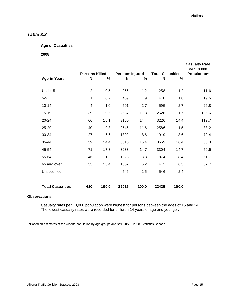## *Table 3.2*

#### **Age of Casualties**

 **2008** 

|                         |                         |       |                 |       |                         |       | <b>Casualty Rate</b><br>Per 10,000 |
|-------------------------|-------------------------|-------|-----------------|-------|-------------------------|-------|------------------------------------|
|                         | <b>Persons Killed</b>   |       | Persons Injured |       | <b>Total Casualties</b> |       | Population*                        |
| Age in Years            | N                       | $\%$  | N               | %     | N                       | %     |                                    |
| Under 5                 | $\overline{2}$          | 0.5   | 256             | 1.2   | 258                     | 1.2   | 11.6                               |
| $5 - 9$                 | $\mathbf 1$             | 0.2   | 409             | 1.9   | 410                     | 1.8   | 19.6                               |
| $10 - 14$               | $\overline{\mathbf{4}}$ | 1.0   | 591             | 2.7   | 595                     | 2.7   | 26.8                               |
| 15-19                   | 39                      | 9.5   | 2587            | 11.8  | 2626                    | 11.7  | 105.6                              |
| $20 - 24$               | 66                      | 16.1  | 3160            | 14.4  | 3226                    | 14.4  | 112.7                              |
| 25-29                   | 40                      | 9.8   | 2546            | 11.6  | 2586                    | 11.5  | 88.2                               |
| 30-34                   | 27                      | 6.6   | 1892            | 8.6   | 1919                    | 8.6   | 70.4                               |
| 35-44                   | 59                      | 14.4  | 3610            | 16.4  | 3669                    | 16.4  | 68.0                               |
| 45-54                   | 71                      | 17.3  | 3233            | 14.7  | 3304                    | 14.7  | 59.6                               |
| 55-64                   | 46                      | 11.2  | 1828            | 8.3   | 1874                    | 8.4   | 51.7                               |
| 65 and over             | 55                      | 13.4  | 1357            | 6.2   | 1412                    | 6.3   | 37.7                               |
| Unspecified             | $-1$                    |       | 546             | 2.5   | 546                     | 2.4   |                                    |
| <b>Total Casualties</b> | 410                     | 100.0 | 22015           | 100.0 | 22425                   | 100.0 |                                    |

#### **Observations**

Casualty rates per 10,000 population were highest for persons between the ages of 15 and 24. The lowest casualty rates were recorded for children 14 years of age and younger.

\*Based on estimates of the Alberta population by age groups and sex, July 1, 2008, Statistics Canada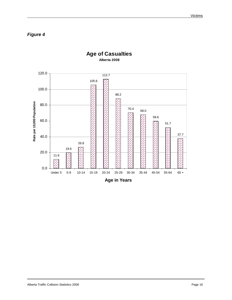*Figure 4* 



## **Age of Casualties Alberta 2008**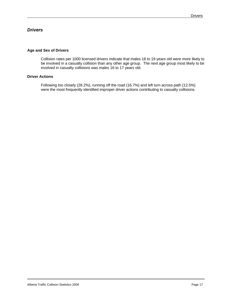#### *Drivers*

#### **Age and Sex of Drivers**

 Collision rates per 1000 licensed drivers indicate that males 18 to 19 years old were more likely to be involved in a casualty collision than any other age group. The next age group most likely to be involved in casualty collisions was males 16 to 17 years old.

#### **Driver Actions**

Following too closely (28.2%), running off the road (16.7%) and left turn across path (12.5%) were the most frequently identified improper driver actions contributing to casualty collisions.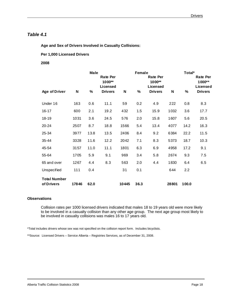#### *Table 4.1*

 **Age and Sex of Drivers Involved in Casualty Collisions:** 

#### **Per 1,000 Licensed Drivers**

#### **2008**

|                                   | <b>Male</b><br><b>Rate Per</b><br>1000** |      |                            |       | Female | <b>Rate Per</b><br>1000**         |       | Total* | <b>Rate Per</b><br>1000**  |
|-----------------------------------|------------------------------------------|------|----------------------------|-------|--------|-----------------------------------|-------|--------|----------------------------|
| <b>Age of Driver</b>              | N                                        | %    | Licensed<br><b>Drivers</b> | N     | %      | <b>Licensed</b><br><b>Drivers</b> | N     | %      | Licensed<br><b>Drivers</b> |
| Under 16                          | 163                                      | 0.6  | 11.1                       | 59    | 0.2    | 4.9                               | 222   | 0.8    | 8.3                        |
| $16 - 17$                         | 600                                      | 2.1  | 19.2                       | 432   | 1.5    | 15.9                              | 1032  | 3.6    | 17.7                       |
| 18-19                             | 1031                                     | 3.6  | 24.5                       | 576   | 2.0    | 15.8                              | 1607  | 5.6    | 20.5                       |
| $20 - 24$                         | 2507                                     | 8.7  | 18.8                       | 1566  | 5.4    | 13.4                              | 4077  | 14.2   | 16.3                       |
| 25-34                             | 3977                                     | 13.8 | 13.5                       | 2406  | 8.4    | 9.2                               | 6384  | 22.2   | 11.5                       |
| 35-44                             | 3328                                     | 11.6 | 12.2                       | 2042  | 7.1    | 8.3                               | 5373  | 18.7   | 10.3                       |
| 45-54                             | 3157                                     | 11.0 | 11.1                       | 1801  | 6.3    | 6.9                               | 4958  | 17.2   | 9.1                        |
| 55-64                             | 1705                                     | 5.9  | 9.1                        | 969   | 3.4    | 5.8                               | 2674  | 9.3    | 7.5                        |
| 65 and over                       | 1267                                     | 4.4  | 8.3                        | 563   | 2.0    | 4.4                               | 1830  | 6.4    | 6.5                        |
| Unspecified                       | $111$                                    | 0.4  |                            | 31    | 0.1    |                                   | 644   | 2.2    |                            |
| <b>Total Number</b><br>of Drivers | 17846                                    | 62.0 |                            | 10445 | 36.3   |                                   | 28801 | 100.0  |                            |

#### **Observations**

 Collision rates per 1000 licensed drivers indicated that males 18 to 19 years old were more likely to be involved in a casualty collision than any other age group. The next age group most likely to be involved in casualty collisions was males 16 to 17 years old.

\*Total includes drivers whose sex was not specified on the collision report form. Includes bicyclists.

\*\*Source: Licensed Drivers – Service Alberta – Registries Services, as of December 31, 2008.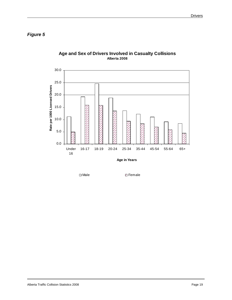*Figure 5* 



#### **Age and Sex of Drivers Involved in Casualty Collisions Alberta 2008**

□ Male Z Female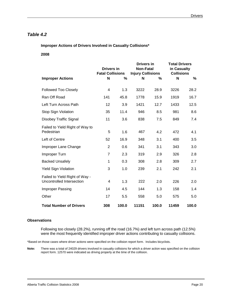#### *Table 4.2*

 **Improper Actions of Drivers Involved in Casualty Collisions\*** 

 **2008** 

|                                                             | <b>Drivers in</b><br><b>Fatal Collisions</b> |       | <b>Drivers in</b><br><b>Non-Fatal</b><br><b>Injury Collisions</b> |       | <b>Total Drivers</b><br>in Casualty<br><b>Collisions</b> |       |
|-------------------------------------------------------------|----------------------------------------------|-------|-------------------------------------------------------------------|-------|----------------------------------------------------------|-------|
| <b>Improper Actions</b>                                     | N                                            | %     | N                                                                 | %     | N                                                        | %     |
| <b>Followed Too Closely</b>                                 | 4                                            | 1.3   | 3222                                                              | 28.9  | 3226                                                     | 28.2  |
| Ran Off Road                                                | 141                                          | 45.8  | 1778                                                              | 15.9  | 1919                                                     | 16.7  |
| Left Turn Across Path                                       | 12                                           | 3.9   | 1421                                                              | 12.7  | 1433                                                     | 12.5  |
| Stop Sign Violation                                         | 35                                           | 11.4  | 946                                                               | 8.5   | 981                                                      | 8.6   |
| Disobey Traffic Signal                                      | 11                                           | 3.6   | 838                                                               | 7.5   | 849                                                      | 7.4   |
| Failed to Yield Right of Way to<br>Pedestrian               | 5                                            | 1.6   | 467                                                               | 4.2   | 472                                                      | 4.1   |
| Left of Centre                                              | 52                                           | 16.9  | 348                                                               | 3.1   | 400                                                      | 3.5   |
| Improper Lane Change                                        | $\mathbf{2}$                                 | 0.6   | 341                                                               | 3.1   | 343                                                      | 3.0   |
| Improper Turn                                               | $\overline{7}$                               | 2.3   | 319                                                               | 2.9   | 326                                                      | 2.8   |
| <b>Backed Unsafely</b>                                      | 1                                            | 0.3   | 308                                                               | 2.8   | 309                                                      | 2.7   |
| <b>Yield Sign Violation</b>                                 | 3                                            | 1.0   | 239                                                               | 2.1   | 242                                                      | 2.1   |
| Failed to Yield Right of Way -<br>Uncontrolled Intersection | 4                                            | 1.3   | 222                                                               | 2.0   | 226                                                      | 2.0   |
| Improper Passing                                            | 14                                           | 4.5   | 144                                                               | 1.3   | 158                                                      | 1.4   |
| Other                                                       | 17                                           | 5.5   | 558                                                               | 5.0   | 575                                                      | 5.0   |
| <b>Total Number of Drivers</b>                              | 308                                          | 100.0 | 11151                                                             | 100.0 | 11459                                                    | 100.0 |

#### **Observations**

l

Following too closely (28.2%), running off the road (16.7%) and left turn across path (12.5%) were the most frequently identified improper driver actions contributing to casualty collisions.

\*Based on those cases where driver actions were specified on the collision report form. Includes bicyclists.

**Note:** There was a total of 24029 drivers involved in casualty collisions for which a driver action was specified on the collision report form. 12570 were indicated as driving properly at the time of the collision.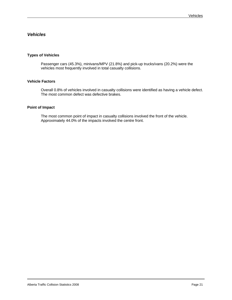## *Vehicles*

### **Types of Vehicles**

 Passenger cars (45.3%), minivans/MPV (21.8%) and pick-up trucks/vans (20.2%) were the vehicles most frequently involved in total casualty collisions.

### **Vehicle Factors**

 Overall 0.8% of vehicles involved in casualty collisions were identified as having a vehicle defect. The most common defect was defective brakes.

#### **Point of Impact**

 The most common point of impact in casualty collisions involved the front of the vehicle. Approximately 44.0% of the impacts involved the centre front.

 $\overline{a}$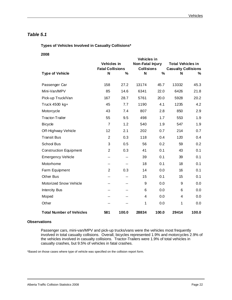## *Table 5.1*

 **Types of Vehicles Involved in Casualty Collisions\*** 

 **2008** 

|                                 | Vehicles in             |       |                         |               |                            |       |
|---------------------------------|-------------------------|-------|-------------------------|---------------|----------------------------|-------|
|                                 | <b>Vehicles</b> in      |       | <b>Non-Fatal Injury</b> |               | <b>Total Vehicles in</b>   |       |
|                                 | <b>Fatal Collisions</b> |       | <b>Collisions</b>       |               | <b>Casualty Collisions</b> |       |
| <b>Type of Vehicle</b>          | N                       | $\%$  | N                       | $\frac{9}{6}$ | N                          | ℅     |
| Passenger Car                   | 158                     | 27.2  | 13174                   | 45.7          | 13332                      | 45.3  |
| Mini-Van/MPV                    | 85                      | 14.6  | 6341                    | 22.0          | 6426                       | 21.8  |
| Pick-up Truck/Van               | 167                     | 28.7  | 5761                    | 20.0          | 5928                       | 20.2  |
| Truck 4500 kg+                  | 45                      | 7.7   | 1190                    | 4.1           | 1235                       | 4.2   |
| Motorcycle                      | 43                      | 7.4   | 807                     | 2.8           | 850                        | 2.9   |
| Tractor-Trailer                 | 55                      | 9.5   | 498                     | 1.7           | 553                        | 1.9   |
| <b>Bicycle</b>                  | $\overline{7}$          | 1.2   | 540                     | 1.9           | 547                        | 1.9   |
| Off-Highway Vehicle             | 12                      | 2.1   | 202                     | 0.7           | 214                        | 0.7   |
| <b>Transit Bus</b>              | $\overline{2}$          | 0.3   | 118                     | 0.4           | 120                        | 0.4   |
| <b>School Bus</b>               | 3                       | 0.5   | 56                      | 0.2           | 59                         | 0.2   |
| <b>Construction Equipment</b>   | $\overline{2}$          | 0.3   | 41                      | 0.1           | 43                         | 0.1   |
| <b>Emergency Vehicle</b>        | --                      | $- -$ | 39                      | 0.1           | 39                         | 0.1   |
| Motorhome                       | --                      | $-$   | 18                      | 0.1           | 18                         | 0.1   |
| Farm Equipment                  | 2                       | 0.3   | 14                      | 0.0           | 16                         | 0.1   |
| Other Bus                       | --                      | --    | 15                      | 0.1           | 15                         | 0.1   |
| <b>Motorized Snow Vehicle</b>   | --                      | $-$   | 9                       | 0.0           | 9                          | 0.0   |
| <b>Intercity Bus</b>            | --                      | $-$   | 6                       | 0.0           | 6                          | 0.0   |
| Moped                           |                         | --    | 4                       | 0.0           | 4                          | 0.0   |
| Other                           | --                      |       | 1                       | 0.0           | 1                          | 0.0   |
| <b>Total Number of Vehicles</b> | 581                     | 100.0 | 28834                   | 100.0         | 29414                      | 100.0 |

### **Observations**

 $\overline{a}$ 

Passenger cars, mini-van/MPV and pick-up trucks/vans were the vehicles most frequently involved in total casualty collisions. Overall, bicycles represented 1.9% and motorcycles 2.9% of the vehicles involved in casualty collisions. Tractor-Trailers were 1.9% of total vehicles in casualty crashes, but 9.5% of vehicles in fatal crashes.

\*Based on those cases where type of vehicle was specified on the collision report form.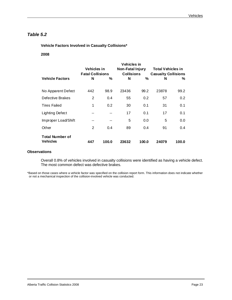## *Table 5.2*

 **Vehicle Factors Involved in Casualty Collisions\*** 

### **2008**

|                                           | <b>Vehicles in</b><br><b>Fatal Collisions</b> |       | Vehicles in<br><b>Non-Fatal Injury</b><br><b>Collisions</b> |       | <b>Total Vehicles in</b><br><b>Casualty Collisions</b> |       |
|-------------------------------------------|-----------------------------------------------|-------|-------------------------------------------------------------|-------|--------------------------------------------------------|-------|
| <b>Vehicle Factors</b>                    | N                                             | %     | N                                                           | %     | N                                                      | %     |
| No Apparent Defect                        | 442                                           | 98.9  | 23436                                                       | 99.2  | 23878                                                  | 99.2  |
| Defective Brakes                          | $\overline{2}$                                | 0.4   | 55                                                          | 0.2   | 57                                                     | 0.2   |
| <b>Tires Failed</b>                       | 1                                             | 0.2   | 30                                                          | 0.1   | 31                                                     | 0.1   |
| <b>Lighting Defect</b>                    | --                                            |       | 17                                                          | 0.1   | 17                                                     | 0.1   |
| Improper Load/Shift                       |                                               |       | 5                                                           | 0.0   | 5                                                      | 0.0   |
| Other                                     | 2                                             | 0.4   | 89                                                          | 0.4   | 91                                                     | 0.4   |
| <b>Total Number of</b><br><b>Vehicles</b> | 447                                           | 100.0 | 23632                                                       | 100.0 | 24079                                                  | 100.0 |

#### **Observations**

Overall 0.8% of vehicles involved in casualty collisions were identified as having a vehicle defect. The most common defect was defective brakes.

\*Based on those cases where a vehicle factor was specified on the collision report form. This information does not indicate whether or not a mechanical inspection of the collision-involved vehicle was conducted.

 $\overline{a}$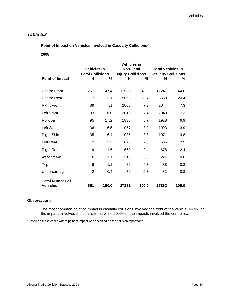## *Table 5.3*

 **Point of Impact on Vehicles Involved in Casualty Collisions\*** 

### **2008**

|                                           | Vehicles in<br><b>Fatal Collisions</b> |       | Vehicles in<br><b>Non-Fatal</b><br><b>Injury Collisions</b> |       | <b>Total Vehicles in</b><br><b>Casualty Collisions</b> |       |
|-------------------------------------------|----------------------------------------|-------|-------------------------------------------------------------|-------|--------------------------------------------------------|-------|
| Point of Impact                           | N                                      | %     | N                                                           | $\%$  | N                                                      | %     |
| <b>Centre Front</b>                       | 261                                    | 47.4  | 11986                                                       | 43.9  | 12247                                                  | 44.0  |
| Centre Rear                               | 17                                     | 3.1   | 5663                                                        | 20.7  | 5680                                                   | 20.4  |
| <b>Right Front</b>                        | 39                                     | 7.1   | 2005                                                        | 7.3   | 2044                                                   | 7.3   |
| Left Front                                | 33                                     | 6.0   | 2010                                                        | 7.4   | 2043                                                   | 7.3   |
| Rollover                                  | 95                                     | 17.2  | 1833                                                        | 6.7   | 1928                                                   | 6.9   |
| Left Side                                 | 36                                     | 6.5   | 1057                                                        | 3.9   | 1093                                                   | 3.9   |
| <b>Right Side</b>                         | 35                                     | 6.4   | 1036                                                        | 3.8   | 1071                                                   | 3.8   |
| Left Rear                                 | 12                                     | 2.2   | 673                                                         | 2.5   | 685                                                    | 2.5   |
| <b>Right Rear</b>                         | 9                                      | 1.6   | 669                                                         | 2.4   | 678                                                    | 2.4   |
| Attachment                                | 6                                      | 1.1   | 218                                                         | 0.8   | 224                                                    | 0.8   |
| Top                                       | 6                                      | 1.1   | 82                                                          | 0.3   | 88                                                     | 0.3   |
| Undercarriage                             | $\overline{2}$                         | 0.4   | 79                                                          | 0.3   | 81                                                     | 0.3   |
| <b>Total Number of</b><br><b>Vehicles</b> | 551                                    | 100.0 | 27311                                                       | 100.0 | 27862                                                  | 100.0 |

### **Observations**

The most common point of impact in casualty collisions involved the front of the vehicle. 44.0% of the impacts involved the centre front, while 20.4% of the impacts involved the centre rear.

\*Based on those cases where point of impact was specified on the collision report form.

 $\overline{a}$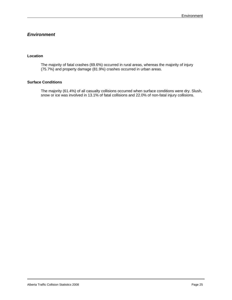## *Environment*

### **Location**

The majority of fatal crashes (69.6%) occurred in rural areas, whereas the majority of injury (75.7%) and property damage (81.9%) crashes occurred in urban areas.

### **Surface Conditions**

The majority (61.4%) of all casualty collisions occurred when surface conditions were dry. Slush, snow or ice was involved in 13.1% of fatal collisions and 22.0% of non-fatal injury collisions.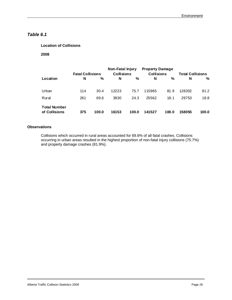# *Table 6.1*

### **Location of Collisions**

 **2008** 

|                                      | <b>Fatal Collisions</b> |       | Non-Fatal Injury<br><b>Collisions</b> |       | <b>Property Damage</b><br><b>Collisions</b> |       | <b>Total Collisions</b> |       |
|--------------------------------------|-------------------------|-------|---------------------------------------|-------|---------------------------------------------|-------|-------------------------|-------|
| Location                             | N                       | %     | N                                     | %     | N                                           | %     | N                       | %     |
| Urban                                | 114                     | 30.4  | 12223                                 | 75.7  | 115965                                      | 81.9  | 128302                  | 81.2  |
| Rural                                | 261                     | 69.6  | 3930                                  | 24.3  | 25562                                       | 18.1  | 29753                   | 18.8  |
| <b>Total Number</b><br>of Collisions | 375                     | 100.0 | 16153                                 | 100.0 | 141527                                      | 100.0 | 158055                  | 100.0 |

### **Observations**

Collisions which occurred in rural areas accounted for 69.6% of all fatal crashes. Collisions occurring in urban areas resulted in the highest proportion of non-fatal injury collisions (75.7%) and property damage crashes (81.9%).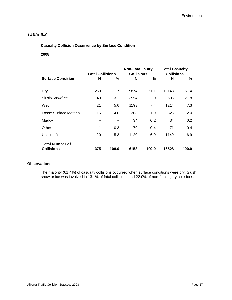# *Table 6.2*

### **Casualty Collision Occurrence by Surface Condition**

### **2008**

|                                             | <b>Fatal Collisions</b> |       | <b>Non-Fatal Injury</b><br><b>Collisions</b> |       | <b>Total Casualty</b><br><b>Collisions</b> |       |
|---------------------------------------------|-------------------------|-------|----------------------------------------------|-------|--------------------------------------------|-------|
| <b>Surface Condition</b>                    | N                       | %     | N                                            | %     | N                                          | %     |
| Dry                                         | 269                     | 71.7  | 9874                                         | 61.1  | 10143                                      | 61.4  |
| Slush/Snow/Ice                              | 49                      | 13.1  | 3554                                         | 22.0  | 3603                                       | 21.8  |
| Wet                                         | 21                      | 5.6   | 1193                                         | 7.4   | 1214                                       | 7.3   |
| Loose Surface Material                      | 15                      | 4.0   | 308                                          | 1.9   | 323                                        | 2.0   |
| Muddy                                       | --                      |       | 34                                           | 0.2   | 34                                         | 0.2   |
| Other                                       | 1                       | 0.3   | 70                                           | 0.4   | 71                                         | 0.4   |
| Unspecified                                 | 20                      | 5.3   | 1120                                         | 6.9   | 1140                                       | 6.9   |
| <b>Total Number of</b><br><b>Collisions</b> | 375                     | 100.0 | 16153                                        | 100.0 | 16528                                      | 100.0 |

### **Observations**

The majority (61.4%) of casualty collisions occurred when surface conditions were dry. Slush, snow or ice was involved in 13.1% of fatal collisions and 22.0% of non-fatal injury collisions.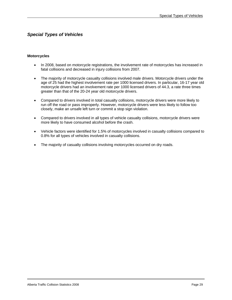## *Special Types of Vehicles*

#### **Motorcycles**

- In 2008, based on motorcycle registrations, the involvement rate of motorcycles has increased in fatal collisions and decreased in injury collisions from 2007.
- The majority of motorcycle casualty collisions involved male drivers. Motorcycle drivers under the age of 25 had the highest involvement rate per 1000 licensed drivers. In particular, 16-17 year old motorcycle drivers had an involvement rate per 1000 licensed drivers of 44.3, a rate three times greater than that of the 20-24 year old motorcycle drivers.
- Compared to drivers involved in total casualty collisions, motorcycle drivers were more likely to run off the road or pass improperly. However, motorcycle drivers were less likely to follow too closely, make an unsafe left turn or commit a stop sign violation.
- Compared to drivers involved in all types of vehicle casualty collisions, motorcycle drivers were more likely to have consumed alcohol before the crash.
- Vehicle factors were identified for 1.5% of motorcycles involved in casualty collisions compared to 0.8% for all types of vehicles involved in casualty collisions.
- The majority of casualty collisions involving motorcycles occurred on dry roads.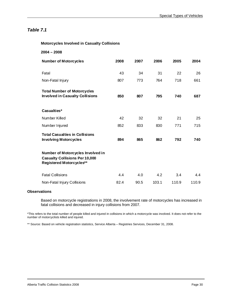#### **Motorcycles Involved in Casualty Collisions**

| $2004 - 2008$                                                                                          |      |      |       |       |       |
|--------------------------------------------------------------------------------------------------------|------|------|-------|-------|-------|
| <b>Number of Motorcycles</b>                                                                           | 2008 | 2007 | 2006  | 2005  | 2004  |
| Fatal                                                                                                  | 43   | 34   | 31    | 22    | 26    |
| Non-Fatal Injury                                                                                       | 807  | 773  | 764   | 718   | 661   |
| <b>Total Number of Motorcycles</b><br><b>Involved in Casualty Collisions</b>                           | 850  | 807  | 795   | 740   | 687   |
| Casualties*                                                                                            |      |      |       |       |       |
| Number Killed                                                                                          | 42   | 32   | 32    | 21    | 25    |
| Number Injured                                                                                         | 852  | 833  | 830   | 771   | 715   |
| <b>Total Casualties in Collisions</b><br><b>Involving Motorcycles</b>                                  | 894  | 865  | 862   | 792   | 740   |
| Number of Motorcycles Involved in<br><b>Casualty Collisions Per 10,000</b><br>Registered Motorcycles** |      |      |       |       |       |
| <b>Fatal Collisions</b>                                                                                | 4.4  | 4.0  | 4.2   | 3.4   | 4.4   |
| Non-Fatal Injury Collisions                                                                            | 82.4 | 90.5 | 103.1 | 110.9 | 110.9 |

### **Observations**

Based on motorcycle registrations in 2008, the involvement rate of motorcycles has increased in fatal collisions and decreased in injury collisions from 2007.

\*This refers to the total number of people killed and injured in collisions in which a motorcycle was involved. It does not refer to the number of motorcyclists killed and injured.

\*\* Source: Based on vehicle registration statistics, Service Alberta – Registries Services, December 31, 2008.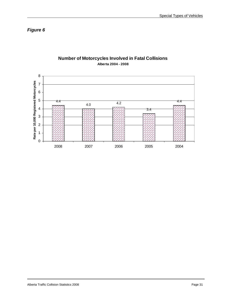*Figure 6* 



## **Number of Motorcycles Involved in Fatal Collisions Alberta 2004 - 2008**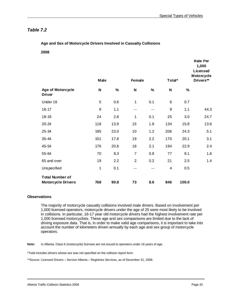### **Age and Sex of Motorcycle Drivers Involved in Casualty Collisions**

**2008** 

|                                                     |                  |      |                |      |                  |       | <b>Rate Per</b><br>1,000<br>Licensed<br>Motorcycle |
|-----------------------------------------------------|------------------|------|----------------|------|------------------|-------|----------------------------------------------------|
|                                                     | Male             |      | Female         |      | Total*           |       | Drivers**                                          |
| <b>Age of Motorcycle</b><br><b>Driver</b>           | N                | $\%$ | N              | $\%$ | N                | $\%$  |                                                    |
| Under 16                                            | 5                | 0.6  | 1              | 0.1  | $\,6$            | 0.7   |                                                    |
| 16-17                                               | $\boldsymbol{9}$ | 1.1  | ۰.             | ۰.   | $\boldsymbol{9}$ | 1.1   | 44.3                                               |
| 18-19                                               | 24               | 2.8  | 1              | 0.1  | 25               | 3.0   | 24.7                                               |
| 20-24                                               | 118              | 13.9 | 15             | 1.8  | 134              | 15.8  | 13.6                                               |
| 25-34                                               | 195              | 23.0 | 10             | 1.2  | 206              | 24.3  | 5.1                                                |
| 35-44                                               | 151              | 17.8 | 19             | 2.2  | 170              | 20.1  | 3.1                                                |
| 45-54                                               | 176              | 20.8 | 18             | 2.1  | 194              | 22.9  | 2.4                                                |
| 55-64                                               | 70               | 8.3  | $\overline{7}$ | 0.8  | 77               | 9.1   | 1.6                                                |
| 65 and over                                         | 19               | 2.2  | $\overline{2}$ | 0.2  | 21               | 2.5   | 1.4                                                |
| Unspecified                                         | 1                | 0.1  | $- -$          | $-$  | 4                | 0.5   |                                                    |
| <b>Total Number of</b><br><b>Motorcycle Drivers</b> | 768              | 90.8 | 73             | 8.6  | 846              | 100.0 |                                                    |

#### **Observations**

The majority of motorcycle casualty collisions involved male drivers. Based on involvement per 1,000 licensed operators, motorcycle drivers under the age of 25 were most likely to be involved in collisions. In particular, 16-17 year old motorcycle drivers had the highest involvement rate per 1,000 licensed motorcyclists. These age and sex comparisons are limited due to the lack of driving exposure data. That is, in order to make valid age comparisons, it is important to take into account the number of kilometers driven annually by each age and sex group of motorcycle operators.

**Note:** In Alberta, Class 6 (motorcycle) licenses are not issued to operators under 16 years of age.

\*Total includes drivers whose sex was not specified on the collision report form.

\*\*Source: Licensed Drivers – Service Alberta – Registries Services, as of December 31, 2008.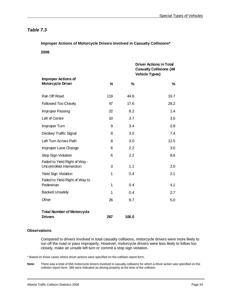**Improper Actions of Motorcycle Drivers Involved in Casualty Collisions\*** 

**2008** 

|                                                             |     |       | <b>Driver Actions in Total</b><br><b>Casualty Collisions (All</b><br><b>Vehicle Types)</b> |
|-------------------------------------------------------------|-----|-------|--------------------------------------------------------------------------------------------|
| <b>Improper Actions of</b><br><b>Motorcycle Driver</b>      | N   | $\%$  | %                                                                                          |
| Ran Off Road                                                | 119 | 44.6  | 16.7                                                                                       |
| Followed Too Closely                                        | 47  | 17.6  | 28.2                                                                                       |
| Improper Passing                                            | 22  | 8.2   | 1.4                                                                                        |
| Left of Centre                                              | 10  | 3.7   | 3.5                                                                                        |
| Improper Turn                                               | 9   | 3.4   | 2.8                                                                                        |
| Disobey Traffic Signal                                      | 8   | 3.0   | 7.4                                                                                        |
| Left Turn Across Path                                       | 8   | 3.0   | 12.5                                                                                       |
| Improper Lane Change                                        | 6   | 2.2   | 3.0                                                                                        |
| Stop Sign Violation                                         | 6   | 2.2   | 8.6                                                                                        |
| Failed to Yield Right of Way -<br>Uncontrolled Intersection | 3   | 1.1   | 2.0                                                                                        |
| <b>Yield Sign Violation</b>                                 | 1   | 0.4   | 2.1                                                                                        |
| Failed to Yield Right of Way to<br>Pedestrian               | 1   | 0.4   | 4.1                                                                                        |
| <b>Backed Unsafely</b>                                      | 1   | 0.4   | 2.7                                                                                        |
| Other                                                       | 26  | 9.7   | 5.0                                                                                        |
| <b>Total Number of Motorcycle</b><br><b>Drivers</b>         | 267 | 100.0 |                                                                                            |

#### **Observations**

l

Compared to drivers involved in total casualty collisions, motorcycle drivers were more likely to run off the road or pass improperly. However, motorcycle drivers were less likely to follow too closely, make an unsafe left turn or commit a stop sign violation.

\* Based on those cases where driver actions were specified on the collision report form.

**Note:** There was a total of 656 motorcycle drivers involved in casualty collisions for which a driver action was specified on the collision report form. 389 were indicated as driving properly at the time of the collision.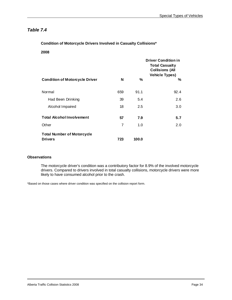**Condition of Motorcycle Drivers Involved in Casualty Collisions\*** 

#### **2008**

|                                       |     |       | <b>Driver Condition in</b><br><b>Total Casualty</b><br><b>Collisions (All</b><br><b>Vehicle Types)</b> |
|---------------------------------------|-----|-------|--------------------------------------------------------------------------------------------------------|
| <b>Condition of Motorcycle Driver</b> | N   | ℅     | %                                                                                                      |
| Normal                                | 659 | 91.1  | 92.4                                                                                                   |
| Had Been Drinking                     | 39  | 5.4   | 2.6                                                                                                    |
| Alcohol Impaired                      | 18  | 2.5   | 3.0                                                                                                    |
| <b>Total Alcohol Involvement</b>      | 57  | 7.9   | 5.7                                                                                                    |
| Other                                 | 7   | 1.0   | 2.0                                                                                                    |
| <b>Total Number of Motorcycle</b>     |     |       |                                                                                                        |
| <b>Drivers</b>                        | 723 | 100.0 |                                                                                                        |

#### **Observations**

The motorcycle driver's condition was a contributory factor for 8.9% of the involved motorcycle drivers. Compared to drivers involved in total casualty collisions, motorcycle drivers were more likely to have consumed alcohol prior to the crash.

\*Based on those cases where driver condition was specified on the collision report form.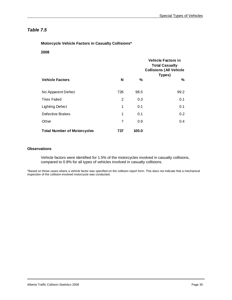**Motorcycle Vehicle Factors in Casualty Collisions\*** 

**2008** 

|                                    |     |       | <b>Vehicle Factors in</b><br><b>Total Casualty</b><br><b>Collisions (All Vehicle</b><br>Types) |
|------------------------------------|-----|-------|------------------------------------------------------------------------------------------------|
| <b>Vehicle Factors</b>             | N   | ℅     | %                                                                                              |
| No Apparent Defect                 | 726 | 98.5  | 99.2                                                                                           |
| <b>Tires Failed</b>                | 2   | 0.3   | 0.1                                                                                            |
| Lighting Defect                    | 1   | 0.1   | 0.1                                                                                            |
| Defective Brakes                   | 1   | 0.1   | 0.2                                                                                            |
| Other                              | 7   | 0.9   | 0.4                                                                                            |
| <b>Total Number of Motorcycles</b> | 737 | 100.0 |                                                                                                |

### **Observations**

Vehicle factors were identified for 1.5% of the motorcycles involved in casualty collisions, compared to 0.8% for all types of vehicles involved in casualty collisions.

\*Based on those cases where a vehicle factor was specified on the collision report form. This does not indicate that a mechanical inspection of the collision-involved motorcycle was conducted.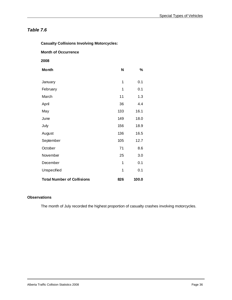| <b>Casualty Collisions Involving Motorcycles:</b> |     |       |
|---------------------------------------------------|-----|-------|
| <b>Month of Occurrence</b>                        |     |       |
| 2008                                              |     |       |
| <b>Month</b>                                      | N   | %     |
| January                                           | 1   | 0.1   |
| February                                          | 1   | 0.1   |
| March                                             | 11  | 1.3   |
| April                                             | 36  | 4.4   |
| May                                               | 133 | 16.1  |
| June                                              | 149 | 18.0  |
| July                                              | 156 | 18.9  |
| August                                            | 136 | 16.5  |
| September                                         | 105 | 12.7  |
| October                                           | 71  | 8.6   |
| November                                          | 25  | 3.0   |
| December                                          | 1   | 0.1   |
| Unspecified                                       | 1   | 0.1   |
| <b>Total Number of Collisions</b>                 | 826 | 100.0 |

### **Observations**

The month of July recorded the highest proportion of casualty crashes involving motorcycles.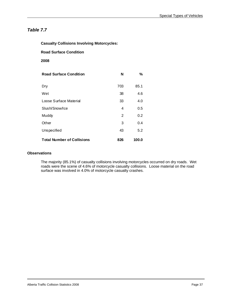| <b>Casualty Collisions Involving Motorcycles:</b> |     |       |
|---------------------------------------------------|-----|-------|
| <b>Road Surface Condition</b>                     |     |       |
| 2008                                              |     |       |
| <b>Road Surface Condition</b>                     | N   | %     |
| Dry                                               | 703 | 85.1  |
| Wet                                               | 38  | 4.6   |
| Loose Surface Material                            | 33  | 4.0   |
| Slush/Snow/Ice                                    | 4   | 0.5   |
| Muddy                                             | 2   | 0.2   |
| Other                                             | 3   | 0.4   |
| Unspecified                                       | 43  | 5.2   |
| <b>Total Number of Collisions</b>                 | 826 | 100.0 |

### **Observations**

The majority (85.1%) of casualty collisions involving motorcycles occurred on dry roads. Wet roads were the scene of 4.6% of motorcycle casualty collisions. Loose material on the road surface was involved in 4.0% of motorcycle casualty crashes.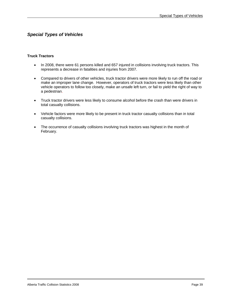## *Special Types of Vehicles*

#### **Truck Tractors**

- In 2008, there were 61 persons killed and 657 injured in collisions involving truck tractors. This represents a decrease in fatalities and injuries from 2007.
- Compared to drivers of other vehicles, truck tractor drivers were more likely to run off the road or make an improper lane change. However, operators of truck tractors were less likely than other vehicle operators to follow too closely, make an unsafe left turn, or fail to yield the right of way to a pedestrian.
- Truck tractor drivers were less likely to consume alcohol before the crash than were drivers in total casualty collisions.
- Vehicle factors were more likely to be present in truck tractor casualty collisions than in total casualty collisions.
- The occurrence of casualty collisions involving truck tractors was highest in the month of February.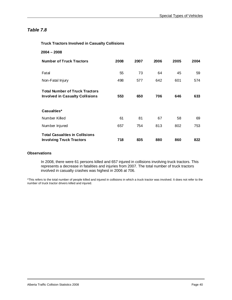### **Truck Tractors Involved in Casualty Collisions**

| $2004 - 2008$                                                                   |      |      |      |      |      |
|---------------------------------------------------------------------------------|------|------|------|------|------|
| <b>Number of Truck Tractors</b>                                                 | 2008 | 2007 | 2006 | 2005 | 2004 |
| Fatal                                                                           | 55   | 73   | 64   | 45   | 59   |
| Non-Fatal Injury                                                                | 498  | 577  | 642  | 601  | 574  |
| <b>Total Number of Truck Tractors</b><br><b>Involved in Casualty Collisions</b> | 553  | 650  | 706  | 646  | 633  |
| Casualties*                                                                     |      |      |      |      |      |
| Number Killed                                                                   | 61   | 81   | 67   | 58   | 69   |
| Number Injured                                                                  | 657  | 754  | 813  | 802  | 753  |
| <b>Total Casualties in Collisions</b><br><b>Involving Truck Tractors</b>        | 718  | 835  | 880  | 860  | 822  |

### **Observations**

In 2008, there were 61 persons killed and 657 injured in collisions involving truck tractors. This represents a decrease in fatalities and injuries from 2007. The total number of truck tractors involved in casualty crashes was highest in 2006 at 706.

\*This refers to the total number of people killed and injured in collisions in which a truck tractor was involved. It does not refer to the number of truck tractor drivers killed and injured.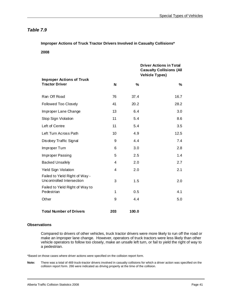**Improper Actions of Truck Tractor Drivers Involved in Casualty Collisions\*** 

**2008** 

|                                                             |     |       | <b>Driver Actions in Total</b><br><b>Casualty Collisions (All</b><br><b>Vehicle Types)</b> |
|-------------------------------------------------------------|-----|-------|--------------------------------------------------------------------------------------------|
| <b>Improper Actions of Truck</b><br><b>Tractor Driver</b>   | N   | %     | %                                                                                          |
| Ran Off Road                                                | 76  | 37.4  | 16.7                                                                                       |
| Followed Too Closely                                        | 41  | 20.2  | 28.2                                                                                       |
| Improper Lane Change                                        | 13  | 6.4   | 3.0                                                                                        |
| Stop Sign Violation                                         | 11  | 5.4   | 8.6                                                                                        |
| Left of Centre                                              | 11  | 5.4   | 3.5                                                                                        |
| Left Turn Across Path                                       | 10  | 4.9   | 12.5                                                                                       |
| Disobey Traffic Signal                                      | 9   | 4.4   | 7.4                                                                                        |
| Improper Turn                                               | 6   | 3.0   | 2.8                                                                                        |
| Improper Passing                                            | 5   | 2.5   | 1.4                                                                                        |
| <b>Backed Unsafely</b>                                      | 4   | 2.0   | 2.7                                                                                        |
| <b>Yield Sign Violation</b>                                 | 4   | 2.0   | 2.1                                                                                        |
| Failed to Yield Right of Way -<br>Uncontrolled Intersection | 3   | 1.5   | 2.0                                                                                        |
| Failed to Yield Right of Way to<br>Pedestrian               | 1   | 0.5   | 4.1                                                                                        |
| Other                                                       | 9   | 4.4   | 5.0                                                                                        |
| <b>Total Number of Drivers</b>                              | 203 | 100.0 |                                                                                            |

#### **Observations**

l

Compared to drivers of other vehicles, truck tractor drivers were more likely to run off the road or make an improper lane change. However, operators of truck tractors were less likely than other vehicle operators to follow too closely, make an unsafe left turn, or fail to yield the right of way to a pedestrian.

\*Based on those cases where driver actions were specified on the collision report form.

**Note:** There was a total of 469 truck-tractor drivers involved in casualty collisions for which a driver action was specified on the collision report form. 266 were indicated as driving properly at the time of the collision.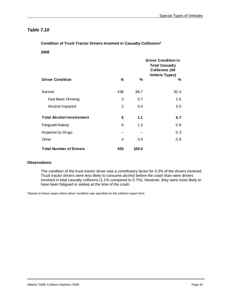**Condition of Truck Tractor Drivers Involved in Casualty Collisions\*** 

**2008** 

|                                  |     |       | <b>Driver Condition in</b><br><b>Total Casualty</b><br><b>Collisions (All</b><br><b>Vehicle Types)</b> |
|----------------------------------|-----|-------|--------------------------------------------------------------------------------------------------------|
| <b>Driver Condition</b>          | N   | %     | %                                                                                                      |
| Normal                           | 438 | 96.7  | 92.4                                                                                                   |
| Had Been Drinking                | 3   | 0.7   | 2.6                                                                                                    |
| Alcohol Impaired                 | 2   | 0.4   | 3.0                                                                                                    |
| <b>Total Alcohol Involvement</b> | 5   | 1.1   | 5.7                                                                                                    |
| Fatigued/Asleep                  | 6   | 1.3   | 0.8                                                                                                    |
| Impaired by Drugs                |     | --    | 0.3                                                                                                    |
| Other                            | 4   | 0.9   | 0.8                                                                                                    |
| <b>Total Number of Drivers</b>   | 453 | 100.0 |                                                                                                        |

### **Observations**

The condition of the truck tractor driver was a contributory factor for 3.3% of the drivers involved. Truck tractor drivers were less likely to consume alcohol before the crash than were drivers involved in total casualty collisions (1.1% compared to 5.7%). However, they were more likely to have been fatigued or asleep at the time of the crash.

\*Based on those cases where driver condition was specified on the collision report form.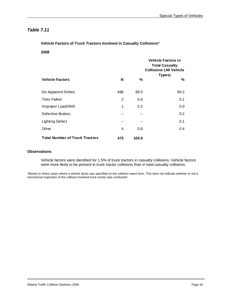**Vehicle Factors of Truck Tractors Involved in Casualty Collisions\*** 

**2008** 

|                                       |     |       | <b>Vehicle Factors in</b><br><b>Total Casualty</b><br><b>Collisions (All Vehicle</b><br>Types) |
|---------------------------------------|-----|-------|------------------------------------------------------------------------------------------------|
| <b>Vehicle Factors</b>                | N   | %     | %                                                                                              |
| No Apparent Defect                    | 466 | 98.5  | 99.2                                                                                           |
| <b>Tires Failed</b>                   | 2   | 0.4   | 0.1                                                                                            |
| Improper Load/Shift                   | 1   | 0.2   | 0.0                                                                                            |
| Defective Brakes                      |     |       | 0.2                                                                                            |
| Lighting Defect                       | --  | --    | 0.1                                                                                            |
| Other                                 | 4   | 0.8   | 0.4                                                                                            |
| <b>Total Number of Truck Tractors</b> | 473 | 100.0 |                                                                                                |

#### **Observations**

Vehicle factors were identified for 1.5% of truck tractors in casualty collisions. Vehicle factors were more likely to be present in truck tractor collisions than in total casualty collisions.

\*Based on those cases where a vehicle factor was specified on the collision report form. This does not indicate whether or not a mechanical inspection of the collision-involved truck tractor was conducted.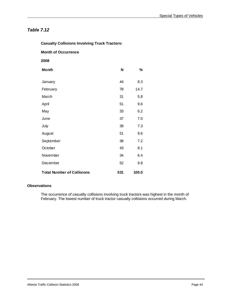| <b>Casualty Collisions Involving Truck Tractors:</b> |     |       |  |
|------------------------------------------------------|-----|-------|--|
| <b>Month of Occurrence</b>                           |     |       |  |
| 2008                                                 |     |       |  |
| <b>Month</b>                                         | N   | %     |  |
| January                                              | 44  | 8.3   |  |
| February                                             | 78  | 14.7  |  |
| March                                                | 31  | 5.8   |  |
| April                                                | 51  | 9.6   |  |
| May                                                  | 33  | 6.2   |  |
| June                                                 | 37  | 7.0   |  |
| July                                                 | 39  | 7.3   |  |
| August                                               | 51  | 9.6   |  |
| September                                            | 38  | 7.2   |  |
| October                                              | 43  | 8.1   |  |
| November                                             | 34  | 6.4   |  |
| December                                             | 52  | 9.8   |  |
| <b>Total Number of Collisions</b>                    | 531 | 100.0 |  |

### **Observations**

The occurrence of casualty collisions involving truck tractors was highest in the month of February. The lowest number of truck tractor casualty collisions occurred during March.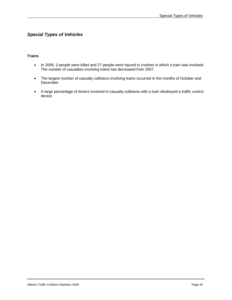# *Special Types of Vehicles*

### **Trains**

- In 2008, 3 people were killed and 27 people were injured in crashes in which a train was involved. The number of casualties involving trains has decreased from 2007.
- The largest number of casualty collisions involving trains occurred in the months of October and December.
- A large percentage of drivers involved in casualty collisions with a train disobeyed a traffic control device.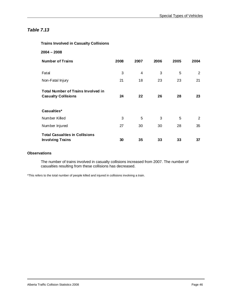### **Trains Involved in Casualty Collisions**

| $2004 - 2008$                                                           |      |      |      |      |      |
|-------------------------------------------------------------------------|------|------|------|------|------|
| <b>Number of Trains</b>                                                 | 2008 | 2007 | 2006 | 2005 | 2004 |
| Fatal                                                                   | 3    | 4    | 3    | 5    | 2    |
| Non-Fatal Injury                                                        | 21   | 18   | 23   | 23   | 21   |
| <b>Total Number of Trains Involved in</b><br><b>Casualty Collisions</b> | 24   | 22   | 26   | 28   | 23   |
| Casualties*                                                             |      |      |      |      |      |
| Number Killed                                                           | 3    | 5    | 3    | 5    | 2    |
| Number Injured                                                          | 27   | 30   | 30   | 28   | 35   |
| <b>Total Casualties in Collisions</b><br><b>Involving Trains</b>        | 30   | 35   | 33   | 33   | 37   |

### **Observations**

The number of trains involved in casualty collisions increased from 2007. The number of casualties resulting from these collisions has decreased.

\*This refers to the total number of people killed and injured in collisions involving a train.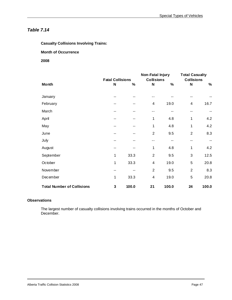**Casualty Collisions Involving Trains:** 

### **Month of Occurrence**

### **2008**

|                                   |                         |       | Non-Fatal Injury  |       |                   | <b>Total Casualty</b> |  |
|-----------------------------------|-------------------------|-------|-------------------|-------|-------------------|-----------------------|--|
|                                   | <b>Fatal Collisions</b> |       | <b>Collisions</b> |       | <b>Collisions</b> |                       |  |
| <b>Month</b>                      | N                       | $\%$  | N                 | %     | $\mathbf N$       | $\%$                  |  |
| January                           | --                      |       |                   |       |                   |                       |  |
| February                          |                         |       | 4                 | 19.0  | 4                 | 16.7                  |  |
| March                             | --                      | --    | --                | --    | --                | --                    |  |
| April                             | --                      | --    | 1                 | 4.8   | 1                 | 4.2                   |  |
| May                               |                         |       | 1                 | 4.8   | 1                 | 4.2                   |  |
| June                              |                         | --    | 2                 | 9.5   | 2                 | 8.3                   |  |
| July                              |                         |       |                   | --    | --                |                       |  |
| August                            | --                      |       | 1                 | 4.8   | 1                 | 4.2                   |  |
| September                         | 1                       | 33.3  | $\overline{2}$    | 9.5   | 3                 | 12.5                  |  |
| October                           | 1                       | 33.3  | 4                 | 19.0  | 5                 | 20.8                  |  |
| November                          |                         |       | $\overline{2}$    | 9.5   | $\overline{2}$    | 8.3                   |  |
| December                          | 1                       | 33.3  | 4                 | 19.0  | 5                 | 20.8                  |  |
| <b>Total Number of Collisions</b> | 3                       | 100.0 | 21                | 100.0 | 24                | 100.0                 |  |

### **Observations**

The largest number of casualty collisions involving trains occurred in the months of October and December.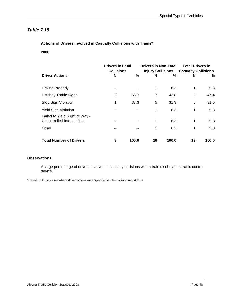### **Actions of Drivers Involved in Casualty Collisions with Trains\***

**2008** 

|                                                             | <b>Drivers in Fatal</b> |       | <b>Drivers in Non-Fatal</b> |                          | <b>Total Drivers in</b>    |       |
|-------------------------------------------------------------|-------------------------|-------|-----------------------------|--------------------------|----------------------------|-------|
|                                                             | <b>Collisions</b>       |       |                             | <b>Injury Collisions</b> | <b>Casualty Collisions</b> |       |
| <b>Driver Actions</b>                                       | N                       | %     | N                           | %                        | N                          | %     |
| Driving Properly                                            |                         |       | 1                           | 6.3                      | 1                          | 5.3   |
| Disobey Traffic Signal                                      | $\overline{2}$          | 66.7  | 7                           | 43.8                     | 9                          | 47.4  |
| Stop Sign Violation                                         | 1                       | 33.3  | 5                           | 31.3                     | 6                          | 31.6  |
| Yield Sign Violation                                        |                         |       | 1                           | 6.3                      | 1                          | 5.3   |
| Failed to Yield Right of Way -<br>Uncontrolled Intersection |                         |       | 1                           | 6.3                      | 1                          | 5.3   |
| Other                                                       |                         |       | 1                           | 6.3                      | 1                          | 5.3   |
| <b>Total Number of Drivers</b>                              | 3                       | 100.0 | 16                          | 100.0                    | 19                         | 100.0 |

### **Observations**

A large percentage of drivers involved in casualty collisions with a train disobeyed a traffic control device.

\*Based on those cases where driver actions were specified on the collision report form.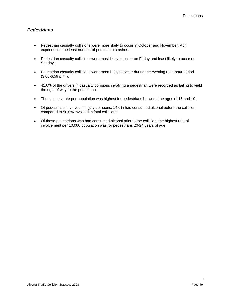## *Pedestrians*

- Pedestrian casualty collisions were more likely to occur in October and November. April experienced the least number of pedestrian crashes.
- Pedestrian casualty collisions were most likely to occur on Friday and least likely to occur on Sunday.
- Pedestrian casualty collisions were most likely to occur during the evening rush-hour period (3:00-6:59 p.m.).
- 41.0% of the drivers in casualty collisions involving a pedestrian were recorded as failing to yield the right of way to the pedestrian.
- The casualty rate per population was highest for pedestrians between the ages of 15 and 19.
- Of pedestrians involved in injury collisions, 14.0% had consumed alcohol before the collision, compared to 50.0% involved in fatal collisions.
- Of those pedestrians who had consumed alcohol prior to the collision, the highest rate of involvement per 10,000 population was for pedestrians 20-24 years of age.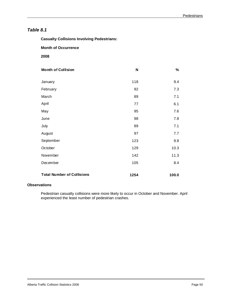**Casualty Collisions Involving Pedestrians:** 

 **Month of Occurrence** 

 **2008** 

| <b>Month of Collision</b>         | $\mathsf{N}$ | $\%$  |
|-----------------------------------|--------------|-------|
| January                           | 118          | 9.4   |
| February                          | 92           | 7.3   |
| March                             | 89           | 7.1   |
| April                             | 77           | 6.1   |
| May                               | 95           | 7.6   |
| June                              | 98           | 7.8   |
| July                              | 89           | 7.1   |
| August                            | 97           | 7.7   |
| September                         | 123          | 9.8   |
| October                           | 129          | 10.3  |
| November                          | 142          | 11.3  |
| December                          | 105          | 8.4   |
| <b>Total Number of Collisions</b> | 1254         | 100.0 |

#### **Observations**

Pedestrian casualty collisions were more likely to occur in October and November. April experienced the least number of pedestrian crashes.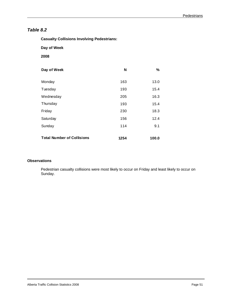| Day of Week                       |      |               |  |  |
|-----------------------------------|------|---------------|--|--|
| 2008                              |      |               |  |  |
| Day of Week                       | N    | $\frac{0}{0}$ |  |  |
| Monday                            | 163  | 13.0          |  |  |
| Tuesday                           | 193  | 15.4          |  |  |
| Wednesday                         | 205  | 16.3          |  |  |
| Thursday                          | 193  | 15.4          |  |  |
| Friday                            | 230  | 18.3          |  |  |
| Saturday                          | 156  | 12.4          |  |  |
| Sunday                            | 114  | 9.1           |  |  |
| <b>Total Number of Collisions</b> | 1254 | 100.0         |  |  |

### **Observations**

Pedestrian casualty collisions were most likely to occur on Friday and least likely to occur on Sunday.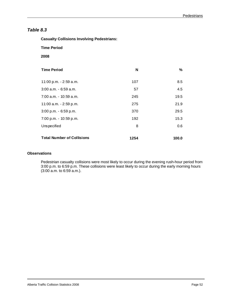**Casualty Collisions Involving Pedestrians:** 

 **Time Period** 

 **2008** 

| <b>Time Period</b>                | N    | %     |
|-----------------------------------|------|-------|
| 11:00 p.m. - 2:59 a.m.            | 107  | 8.5   |
| 3:00 a.m. - 6:59 a.m.             | 57   | 4.5   |
| 7:00 a.m. - 10:59 a.m.            | 245  | 19.5  |
| 11:00 a.m. - 2:59 p.m.            | 275  | 21.9  |
| 3:00 p.m. - 6:59 p.m.             | 370  | 29.5  |
| 7:00 p.m. - 10:59 p.m.            | 192  | 15.3  |
| Unspecified                       | 8    | 0.6   |
| <b>Total Number of Collisions</b> | 1254 | 100.0 |

### **Observations**

Pedestrian casualty collisions were most likely to occur during the evening rush-hour period from 3:00 p.m. to 6:59 p.m. These collisions were least likely to occur during the early morning hours (3:00 a.m. to 6:59 a.m.).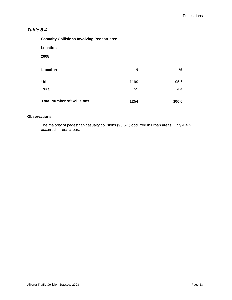| <b>Casualty Collisions Involving Pedestrians:</b> |      |       |
|---------------------------------------------------|------|-------|
| Location                                          |      |       |
| 2008                                              |      |       |
| Location                                          | N    | ℅     |
| Urban                                             | 1199 | 95.6  |
| Rural                                             | 55   | 4.4   |
| <b>Total Number of Collisions</b>                 | 1254 | 100.0 |

### **Observations**

The majority of pedestrian casualty collisions (95.6%) occurred in urban areas. Only 4.4% occurred in rural areas.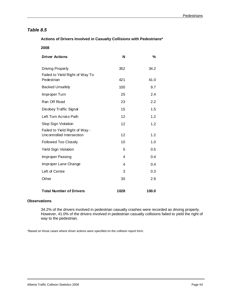### **Actions of Drivers Involved in Casualty Collisions with Pedestrians\***

| <b>Driver Actions</b>                                       | N    | %     |
|-------------------------------------------------------------|------|-------|
| Driving Properly<br>Failed to Yield Right of Way To         | 352  | 34.2  |
| Pedestrian                                                  | 421  | 41.0  |
| <b>Backed Unsafely</b>                                      | 100  | 9.7   |
| Improper Turn                                               | 25   | 2.4   |
| Ran Off Road                                                | 23   | 2.2   |
| Disobey Traffic Signal                                      | 15   | 1.5   |
| Left Turn Across Path                                       | 12   | 1.2   |
| Stop Sign Violation                                         | 12   | 1.2   |
| Failed to Yield Right of Way -<br>Uncontrolled Intersection | 12   | 1.2   |
| Followed Too Closely                                        | 10   | 1.0   |
| <b>Yield Sign Violation</b>                                 | 5    | 0.5   |
| Improper Passing                                            | 4    | 0.4   |
| Improper Lane Change                                        | 4    | 0.4   |
| Left of Centre                                              | 3    | 0.3   |
| Other                                                       | 30   | 2.9   |
| <b>Total Number of Drivers</b>                              | 1028 | 100.0 |

#### **Observations**

34.2% of the drivers involved in pedestrian casualty crashes were recorded as driving properly. However, 41.0% of the drivers involved in pedestrian casualty collisions failed to yield the right of way to the pedestrian.

\*Based on those cases where driver actions were specified on the collision report form.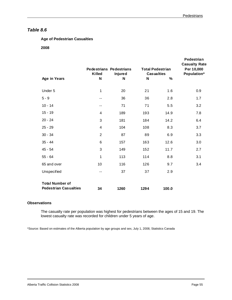### **Age of Pedestrian Casualties**

 **2008** 

|                                                        | <b>Pedestrians Pedestrians</b><br>Killed | <b>Injured</b> | <b>Total Pedestrian</b><br><b>Casualties</b> |       | Pedestrian<br><b>Casualty Rate</b><br>Per 10,000<br>Population* |
|--------------------------------------------------------|------------------------------------------|----------------|----------------------------------------------|-------|-----------------------------------------------------------------|
| Age in Years                                           | N                                        | N              | N                                            | $\%$  |                                                                 |
| Under 5                                                | 1                                        | 20             | 21                                           | 1.6   | 0.9                                                             |
| $5 - 9$                                                | $- -$                                    | 36             | 36                                           | 2.8   | 1.7                                                             |
| $10 - 14$                                              | $- -$                                    | 71             | 71                                           | 5.5   | 3.2                                                             |
| $15 - 19$                                              | 4                                        | 189            | 193                                          | 14.9  | 7.8                                                             |
| $20 - 24$                                              | 3                                        | 181            | 184                                          | 14.2  | 6.4                                                             |
| $25 - 29$                                              | 4                                        | 104            | 108                                          | 8.3   | 3.7                                                             |
| $30 - 34$                                              | $\overline{2}$                           | 87             | 89                                           | 6.9   | 3.3                                                             |
| $35 - 44$                                              | 6                                        | 157            | 163                                          | 12.6  | 3.0                                                             |
| $45 - 54$                                              | 3                                        | 149            | 152                                          | 11.7  | 2.7                                                             |
| $55 - 64$                                              | 1                                        | 113            | 114                                          | 8.8   | 3.1                                                             |
| 65 and over                                            | 10                                       | 116            | 126                                          | 9.7   | 3.4                                                             |
| Unspecified                                            | $-$                                      | 37             | 37                                           | 2.9   |                                                                 |
| <b>Total Number of</b><br><b>Pedestrian Casualties</b> | 34                                       | 1260           | 1294                                         | 100.0 |                                                                 |

### **Observations**

l

The casualty rate per population was highest for pedestrians between the ages of 15 and 19. The lowest casualty rate was recorded for children under 5 years of age.

\*Source: Based on estimates of the Alberta population by age groups and sex, July 1, 2008, Statistics Canada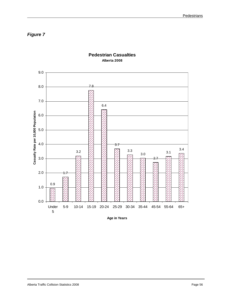*Figure 7* 



## **Pedestrian Casualties Alberta 2008**

**Age in Years**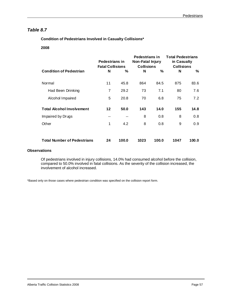# *Table 8.7*

 **Condition of Pedestrians Involved in Casualty Collisions\*** 

 **2008** 

|                                    | <b>Pedestrians in</b><br><b>Fatal Collisions</b> |       | Pedestrians in<br>Non-Fatal Injury<br><b>Collisions</b> |       | <b>Total Pedestrians</b><br>in Casualty<br><b>Collisions</b> |       |  |
|------------------------------------|--------------------------------------------------|-------|---------------------------------------------------------|-------|--------------------------------------------------------------|-------|--|
| <b>Condition of Pedestrian</b>     | N                                                | %     | N                                                       | %     | N                                                            | ℅     |  |
| Normal                             | 11                                               | 45.8  | 864                                                     | 84.5  | 875                                                          | 83.6  |  |
| Had Been Drinking                  | 7                                                | 29.2  | 73                                                      | 7.1   | 80                                                           | 7.6   |  |
| Alcohol Impaired                   | 5                                                | 20.8  | 70                                                      | 6.8   | 75                                                           | 7.2   |  |
| <b>Total Alcohol Involvement</b>   | $12 \,$                                          | 50.0  | 143                                                     | 14.0  | 155                                                          | 14.8  |  |
| Impaired by Drugs                  | --                                               | --    | 8                                                       | 0.8   | 8                                                            | 0.8   |  |
| Other                              | 1                                                | 4.2   | 8                                                       | 0.8   | 9                                                            | 0.9   |  |
|                                    |                                                  |       |                                                         |       |                                                              |       |  |
| <b>Total Number of Pedestrians</b> | 24                                               | 100.0 | 1023                                                    | 100.0 | 1047                                                         | 100.0 |  |

## **Observations**

Of pedestrians involved in injury collisions, 14.0% had consumed alcohol before the collision, compared to 50.0% involved in fatal collisions. As the severity of the collision increased, the involvement of alcohol increased.

\*Based only on those cases where pedestrian condition was specified on the collision report form.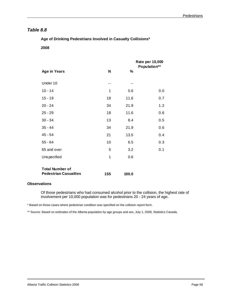# *Table 8.8*

 **Age of Drinking Pedestrians Involved in Casualty Collisions\*** 

 **2008** 

|                              |     |       | Rate per 10,000<br>Population** |  |  |
|------------------------------|-----|-------|---------------------------------|--|--|
| <b>Age in Years</b>          | N   | %     |                                 |  |  |
| Under 10                     | --  |       |                                 |  |  |
| $10 - 14$                    | 1   | 0.6   | 0.0                             |  |  |
| $15 - 19$                    | 18  | 11.6  | 0.7                             |  |  |
| $20 - 24$                    | 34  | 21.9  | 1.2                             |  |  |
| $25 - 29$                    | 18  | 11.6  | 0.6                             |  |  |
| $30 - 34$                    | 13  | 8.4   | 0.5                             |  |  |
| $35 - 44$                    | 34  | 21.9  | 0.6                             |  |  |
| $45 - 54$                    | 21  | 13.5  | 0.4                             |  |  |
| $55 - 64$                    | 10  | 6.5   | 0.3                             |  |  |
| 65 and over                  | 5   | 3.2   | 0.1                             |  |  |
| Unspecified                  | 1   | 0.6   |                                 |  |  |
| <b>Total Number of</b>       |     |       |                                 |  |  |
| <b>Pedestrian Casualties</b> | 155 | 100.0 |                                 |  |  |

## **Observations**

Of those pedestrians who had consumed alcohol prior to the collision, the highest rate of involvement per 10,000 population was for pedestrians 20 - 24 years of age.

\* Based on those cases where pedestrian condition was specified on the collision report form.

\*\* Source: Based on estimates of the Alberta population by age groups and sex, July 1, 2008, Statistics Canada.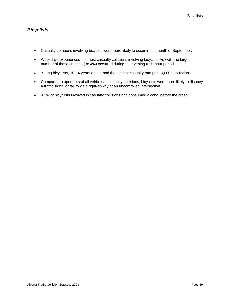# *Bicyclists*

- Casualty collisions involving bicycles were more likely to occur in the month of September.
- Weekdays experienced the most casualty collisions involving bicycles. As well, the largest number of these crashes (38.4%) occurred during the evening rush-hour period.
- Young bicyclists, 10-14 years of age had the highest casualty rate per 10,000 population.
- Compared to operators of all vehicles in casualty collisions, bicyclists were more likely to disobey a traffic signal or fail to yield right-of-way at an uncontrolled intersection.
- 4.2% of bicyclists involved in casualty collisions had consumed alcohol before the crash.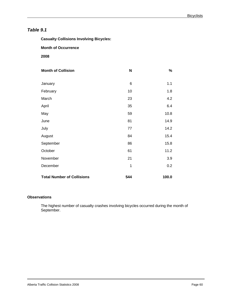**Casualty Collisions Involving Bicycles:** 

 **Month of Occurrence** 

 **2008** 

| <b>Month of Collision</b>         | N   | $\%$  |
|-----------------------------------|-----|-------|
| January                           | 6   | 1.1   |
| February                          | 10  | 1.8   |
| March                             | 23  | 4.2   |
| April                             | 35  | 6.4   |
| May                               | 59  | 10.8  |
| June                              | 81  | 14.9  |
| July                              | 77  | 14.2  |
| August                            | 84  | 15.4  |
| September                         | 86  | 15.8  |
| October                           | 61  | 11.2  |
| November                          | 21  | 3.9   |
| December                          | 1   | 0.2   |
| <b>Total Number of Collisions</b> | 544 | 100.0 |

### **Observations**

The highest number of casualty crashes involving bicycles occurred during the month of September.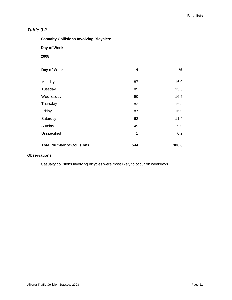**Casualty Collisions Involving Bicycles:** 

 **Day of Week** 

 **2008** 

| Day of Week                       | N   | %     |
|-----------------------------------|-----|-------|
| Monday                            | 87  | 16.0  |
| Tuesday                           | 85  | 15.6  |
| Wednesday                         | 90  | 16.5  |
| Thursday                          | 83  | 15.3  |
| Friday                            | 87  | 16.0  |
| Saturday                          | 62  | 11.4  |
| Sunday                            | 49  | 9.0   |
| Unspecified                       | 1   | 0.2   |
| <b>Total Number of Collisions</b> | 544 | 100.0 |

## **Observations**

Casualty collisions involving bicycles were most likely to occur on weekdays.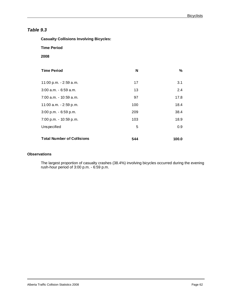**Casualty Collisions Involving Bicycles:** 

 **Time Period** 

 **2008** 

| <b>Time Period</b>                | N   | $\%$  |
|-----------------------------------|-----|-------|
| 11:00 p.m. - 2:59 a.m.            | 17  | 3.1   |
| $3:00$ a.m. $-6:59$ a.m.          | 13  | 2.4   |
| 7:00 a.m. - 10:59 a.m.            | 97  | 17.8  |
| 11:00 a.m. - 2:59 p.m.            | 100 | 18.4  |
| 3:00 p.m. - 6:59 p.m.             | 209 | 38.4  |
| 7:00 p.m. - 10:59 p.m.            | 103 | 18.9  |
| Unspecified                       | 5   | 0.9   |
| <b>Total Number of Collisions</b> | 544 | 100.0 |

## **Observations**

The largest proportion of casualty crashes (38.4%) involving bicycles occurred during the evening rush-hour period of 3:00 p.m. - 6:59 p.m.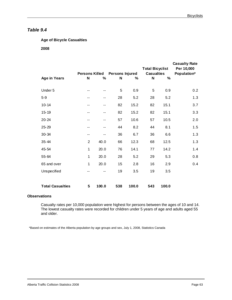## **Age of Bicycle Casualties**

### **2008**

|                         |                       |       |                        |       | <b>Total Bicyclist</b> |       | <b>Casualty Rate</b><br>Per 10,000 |
|-------------------------|-----------------------|-------|------------------------|-------|------------------------|-------|------------------------------------|
|                         | <b>Persons Killed</b> |       | <b>Persons Injured</b> |       | <b>Casualties</b>      |       | Population*                        |
| <b>Age in Years</b>     | N                     | %     | N                      | %     | N                      | $\%$  |                                    |
|                         |                       |       |                        |       |                        |       |                                    |
| Under 5                 | --                    | --    | 5                      | 0.9   | 5                      | 0.9   | 0.2                                |
| $5 - 9$                 | --                    | --    | 28                     | 5.2   | 28                     | 5.2   | 1.3                                |
| $10 - 14$               | --                    | --    | 82                     | 15.2  | 82                     | 15.1  | 3.7                                |
| $15 - 19$               | --                    | --    | 82                     | 15.2  | 82                     | 15.1  | 3.3                                |
| 20-24                   | --                    | --    | 57                     | 10.6  | 57                     | 10.5  | 2.0                                |
| 25-29                   | --                    | --    | 44                     | 8.2   | 44                     | 8.1   | 1.5                                |
| 30-34                   | --                    | --    | 36                     | 6.7   | 36                     | 6.6   | 1.3                                |
| 35-44                   | $\overline{2}$        | 40.0  | 66                     | 12.3  | 68                     | 12.5  | 1.3                                |
| 45-54                   | 1                     | 20.0  | 76                     | 14.1  | 77                     | 14.2  | 1.4                                |
| 55-64                   | 1                     | 20.0  | 28                     | 5.2   | 29                     | 5.3   | 0.8                                |
| 65 and over             | 1                     | 20.0  | 15                     | 2.8   | 16                     | 2.9   | 0.4                                |
| Unspecified             | --                    | --    | 19                     | 3.5   | 19                     | 3.5   |                                    |
| <b>Total Casualties</b> | 5                     | 100.0 | 538                    | 100.0 | 543                    | 100.0 |                                    |

### **Observations**

Casualty rates per 10,000 population were highest for persons between the ages of 10 and 14. The lowest casualty rates were recorded for children under 5 years of age and adults aged 55 and older.

\*Based on estimates of the Alberta population by age groups and sex, July 1, 2008, Statistics Canada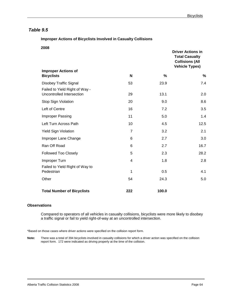### **Improper Actions of Bicyclists Involved in Casualty Collisions**

 **2008** 

|                                                             |                |       | <b>Driver Actions in</b><br><b>Total Casualty</b><br><b>Collisions (All</b><br><b>Vehicle Types)</b> |  |
|-------------------------------------------------------------|----------------|-------|------------------------------------------------------------------------------------------------------|--|
| <b>Improper Actions of</b><br><b>Bicyclists</b>             | N              | %     | %                                                                                                    |  |
| <b>Disobey Traffic Signal</b>                               | 53             | 23.9  | 7.4                                                                                                  |  |
| Failed to Yield Right of Way -<br>Uncontrolled Intersection | 29             | 13.1  | 2.0                                                                                                  |  |
| Stop Sign Violation                                         | 20             | 9.0   | 8.6                                                                                                  |  |
| Left of Centre                                              | 16             | 7.2   | 3.5                                                                                                  |  |
| Improper Passing                                            | 11             | 5.0   | 1.4                                                                                                  |  |
| Left Turn Across Path                                       | 10             | 4.5   | 12.5                                                                                                 |  |
| <b>Yield Sign Violation</b>                                 | $\overline{7}$ | 3.2   | 2.1                                                                                                  |  |
| Improper Lane Change                                        | 6              | 2.7   | 3.0                                                                                                  |  |
| Ran Off Road                                                | 6              | 2.7   | 16.7                                                                                                 |  |
| <b>Followed Too Closely</b>                                 | 5              | 2.3   | 28.2                                                                                                 |  |
| Improper Turn                                               | 4              | 1.8   | 2.8                                                                                                  |  |
| Failed to Yield Right of Way to<br>Pedestrian               | 1              | 0.5   | 4.1                                                                                                  |  |
| Other                                                       | 54             | 24.3  | 5.0                                                                                                  |  |
| <b>Total Number of Bicyclists</b>                           | 222            | 100.0 |                                                                                                      |  |

### **Observations**

 $\overline{a}$ 

Compared to operators of all vehicles in casualty collisions, bicyclists were more likely to disobey a traffic signal or fail to yield right-of-way at an uncontrolled intersection.

\*Based on those cases where driver actions were specified on the collision report form.

**Note:** There was a total of 394 bicyclists involved in casualty collisions for which a driver action was specified on the collision report form. 172 were indicated as driving properly at the time of the collision.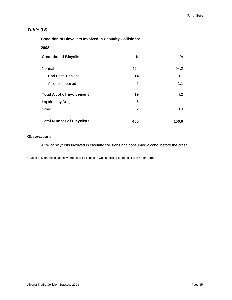**Condition of Bicyclists Involved in Casualty Collisions\*** 

 **2008** 

| <b>Condition of Bicyclist</b>     | N   | %     |
|-----------------------------------|-----|-------|
| Normal                            | 424 | 94.2  |
| Had Been Drinking                 | 14  | 3.1   |
| Alcohol Impaired                  | 5   | 1.1   |
| <b>Total Alcohol Involvement</b>  | 19  | 4.2   |
| Impaired by Drugs                 | 5   | 1.1   |
| Other                             | 2   | 0.4   |
| <b>Total Number of Bicyclists</b> | 450 | 100.0 |

## **Observations**

4.2% of bicyclists involved in casualty collisions had consumed alcohol before the crash.

\*Based only on those cases where bicyclist condition was specified on the collision report form.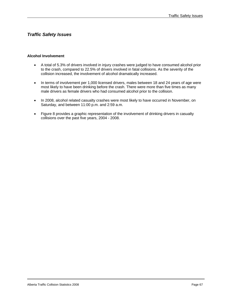# *Traffic Safety Issues*

### **Alcohol Involvement**

- A total of 5.3% of drivers involved in injury crashes were judged to have consumed alcohol prior to the crash, compared to 22.5% of drivers involved in fatal collisions. As the severity of the collision increased, the involvement of alcohol dramatically increased.
- In terms of involvement per 1,000 licensed drivers, males between 18 and 24 years of age were most likely to have been drinking before the crash. There were more than five times as many male drivers as female drivers who had consumed alcohol prior to the collision.
- In 2008, alcohol related casualty crashes were most likely to have occurred in November, on Saturday, and between 11:00 p.m. and 2:59 a.m.
- Figure 8 provides a graphic representation of the involvement of drinking drivers in casualty collisions over the past five years, 2004 - 2008.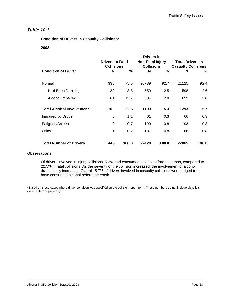## **Condition of Drivers in Casualty Collisions\***

 **2008** 

|                                  | Drivers in                                   |       |                                              |       |                                                       |       |
|----------------------------------|----------------------------------------------|-------|----------------------------------------------|-------|-------------------------------------------------------|-------|
|                                  | <b>Drivers in Fatal</b><br><b>Collisions</b> |       | <b>Non-Fatal Injury</b><br><b>Collisions</b> |       | <b>Total Drivers in</b><br><b>Casualty Collisions</b> |       |
| <b>Condition of Driver</b>       | N                                            | %     | N                                            | %     | N                                                     | ℅     |
| Normal                           | 336                                          | 75.5  | 20789                                        | 92.7  | 21125                                                 | 92.4  |
| Had Been Drinking                | 39                                           | 8.8   | 559                                          | 2.5   | 598                                                   | 2.6   |
| Alcohol Impaired                 | 61                                           | 13.7  | 634                                          | 2.8   | 695                                                   | 3.0   |
| <b>Total Alcohol Involvement</b> | 100                                          | 22.5  | 1193                                         | 5.3   | 1293                                                  | 5.7   |
| Impaired by Drugs                | 5                                            | 1.1   | 61                                           | 0.3   | 66                                                    | 0.3   |
| Fatigued/Asleep                  | 3                                            | 0.7   | 190                                          | 0.8   | 193                                                   | 0.8   |
| Other                            | 1                                            | 0.2   | 187                                          | 0.8   | 188                                                   | 0.8   |
| <b>Total Number of Drivers</b>   | 445                                          | 100.0 | 22420                                        | 100.0 | 22865                                                 | 100.0 |

### **Observations**

Of drivers involved in injury collisions, 5.3% had consumed alcohol before the crash, compared to 22.5% in fatal collisions. As the severity of the collision increased, the involvement of alcohol dramatically increased. Overall, 5.7% of drivers involved in casualty collisions were judged to have consumed alcohol before the crash.

\*Based on those cases where driver condition was specified on the collision report form. These numbers do not include bicyclists (see Table 9.6, page 65).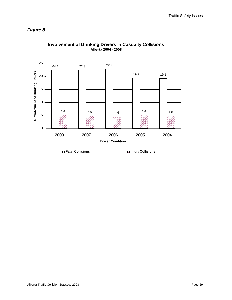# *Figure 8*



# **Involvement of Drinking Drivers in Casualty Collisions Alberta 2004 - 2008**

□ Fatal Collisions Injury Collisions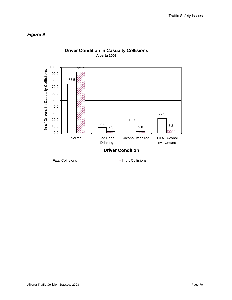# *Figure 9*



## **Driver Condition in Casualty Collisions Alberta 2008**

□ Fatal Collisions Injury Collisions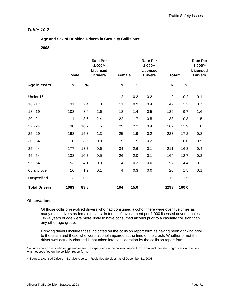**Age and Sex of Drinking Drivers in Casualty Collisions\*** 

### **2008**

|                      | Male  |      | <b>Rate Per</b><br>$1,000**$<br>Licensed<br><b>Drivers</b> | <b>Female</b>  |      | <b>Rate Per</b><br>1,000**<br><b>Licensed</b><br><b>Drivers</b> | Total*         |       | <b>Rate Per</b><br>$1,000**$<br><b>Licensed</b><br><b>Drivers</b> |
|----------------------|-------|------|------------------------------------------------------------|----------------|------|-----------------------------------------------------------------|----------------|-------|-------------------------------------------------------------------|
| <b>Age in Years</b>  | N     | $\%$ |                                                            | $\mathsf{N}$   | %    |                                                                 | ${\sf N}$      | $\%$  |                                                                   |
| Under 16             | $- -$ | --   |                                                            | $\overline{2}$ | 0.2  | 0.2                                                             | $\overline{c}$ | 0.2   | 0.1                                                               |
| $16 - 17$            | 31    | 2.4  | 1.0                                                        | 11             | 0.9  | 0.4                                                             | 42             | 3.2   | 0.7                                                               |
| $18 - 19$            | 108   | 8.4  | 2.6                                                        | 18             | 1.4  | 0.5                                                             | 126            | 9.7   | 1.6                                                               |
| $20 - 21$            | 111   | 8.6  | 2.4                                                        | 22             | 1.7  | 0.5                                                             | 133            | 10.3  | 1.5                                                               |
| $22 - 24$            | 138   | 10.7 | 1.6                                                        | 29             | 2.2  | 0.4                                                             | 167            | 12.9  | 1.0                                                               |
| $25 - 29$            | 198   | 15.3 | 1.3                                                        | 25             | 1.9  | 0.2                                                             | 223            | 17.2  | 0.8                                                               |
| $30 - 34$            | 110   | 8.5  | 0.8                                                        | 19             | 1.5  | 0.2                                                             | 129            | 10.0  | 0.5                                                               |
| $35 - 44$            | 177   | 13.7 | 0.6                                                        | 34             | 2.6  | 0.1                                                             | 211            | 16.3  | 0.4                                                               |
| 45 - 54              | 138   | 10.7 | 0.5                                                        | 26             | 2.0  | 0.1                                                             | 164            | 12.7  | 0.3                                                               |
| $55 - 64$            | 53    | 4.1  | 0.3                                                        | 4              | 0.3  | 0.0                                                             | 57             | 4.4   | 0.2                                                               |
| 65 and over          | 16    | 1.2  | 0.1                                                        | 4              | 0.3  | 0.0                                                             | 20             | 1.5   | 0.1                                                               |
| Unspecified          | 3     | 0.2  |                                                            | --             | $-$  |                                                                 | 19             | 1.5   |                                                                   |
| <b>Total Drivers</b> | 1083  | 83.8 |                                                            | 194            | 15.0 |                                                                 | 1293           | 100.0 |                                                                   |

### **Observations**

Of those collision-involved drivers who had consumed alcohol, there were over five times as many male drivers as female drivers. In terms of involvement per 1,000 licensed drivers, males 18-24 years of age were more likely to have consumed alcohol prior to a casualty collision than any other age group.

Drinking drivers include those indicated on the collision report form as having been drinking prior to the crash and those who were alcohol-impaired at the time of the crash. Whether or not the driver was actually charged is not taken into consideration by the collision report form.

\*Includes only drivers whose age and/or sex was specified on the collision report form. Total includes drinking drivers whose sex was not specified on the collision report form.

\*\*Source: Licensed Drivers – Service Alberta – Registries Services, as of December 31, 2008.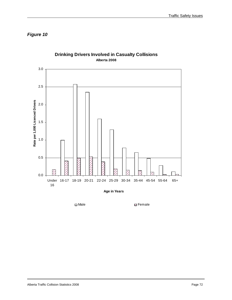*Figure 10* 



**Drinking Drivers Involved in Casualty Collisions Alberta 2008**

**Age in Years**

□ Male The Female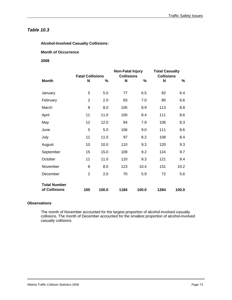**Alcohol-Involved Casualty Collisions:** 

**Month of Occurrence** 

## **2008**

| <b>Fatal Collisions</b>              |                |       | <b>Non-Fatal Injury</b><br><b>Collisions</b> | <b>Total Casualty</b><br><b>Collisions</b> |      |       |
|--------------------------------------|----------------|-------|----------------------------------------------|--------------------------------------------|------|-------|
| <b>Month</b>                         | N              | %     | N                                            | %                                          | N    | %     |
| January                              | 5              | 5.0   | 77                                           | 6.5                                        | 82   | 6.4   |
| February                             | $\overline{2}$ | 2.0   | 83                                           | 7.0                                        | 85   | 6.6   |
| March                                | 8              | 8.0   | 105                                          | 8.9                                        | 113  | 8.8   |
| April                                | 11             | 11.0  | 100                                          | 8.4                                        | 111  | 8.6   |
| May                                  | 12             | 12.0  | 94                                           | 7.9                                        | 106  | 8.3   |
| June                                 | 5              | 5.0   | 106                                          | 9.0                                        | 111  | 8.6   |
| July                                 | 11             | 11.0  | 97                                           | 8.2                                        | 108  | 8.4   |
| August                               | 10             | 10.0  | 110                                          | 9.3                                        | 120  | 9.3   |
| September                            | 15             | 15.0  | 109                                          | 9.2                                        | 124  | 9.7   |
| October                              | 11             | 11.0  | 110                                          | 9.3                                        | 121  | 9.4   |
| November                             | 8              | 8.0   | 123                                          | 10.4                                       | 131  | 10.2  |
| December                             | $\overline{2}$ | 2.0   | 70                                           | 5.9                                        | 72   | 5.6   |
| <b>Total Number</b><br>of Collisions | 100            | 100.0 | 1184                                         | 100.0                                      | 1284 | 100.0 |

## **Observations**

 $\overline{a}$ 

The month of November accounted for the largest proportion of alcohol-involved casualty collisions. The month of December accounted for the smallest proportion of alcohol-involved casualty collisions.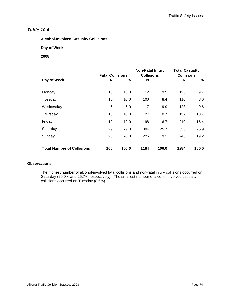**Alcohol-Involved Casualty Collisions:** 

 **Day of Week** 

 **2008** 

|                                   | <b>Fatal Collisions</b> |       | Non-Fatal Injury<br><b>Collisions</b> |       | <b>Total Casualty</b><br><b>Collisions</b> |       |
|-----------------------------------|-------------------------|-------|---------------------------------------|-------|--------------------------------------------|-------|
| Day of Week                       | N                       | ℅     | N                                     | %     | N                                          | %     |
| Monday                            | 13                      | 13.0  | 112                                   | 9.5   | 125                                        | 9.7   |
| Tuesday                           | 10                      | 10.0  | 100                                   | 8.4   | 110                                        | 8.6   |
| Wednesday                         | 6                       | 6.0   | 117                                   | 9.9   | 123                                        | 9.6   |
| Thursday                          | 10                      | 10.0  | 127                                   | 10.7  | 137                                        | 10.7  |
| Friday                            | 12                      | 12.0  | 198                                   | 16.7  | 210                                        | 16.4  |
| Saturday                          | 29                      | 29.0  | 304                                   | 25.7  | 333                                        | 25.9  |
| Sunday                            | 20                      | 20.0  | 226                                   | 19.1  | 246                                        | 19.2  |
| <b>Total Number of Collisions</b> | 100                     | 100.0 | 1184                                  | 100.0 | 1284                                       | 100.0 |

## **Observations**

The highest number of alcohol-involved fatal collisions and non-fatal injury collisions occurred on Saturday (29.0% and 25.7% respectively). The smallest number of alcohol-involved casualty collisions occurred on Tuesday (8.6%).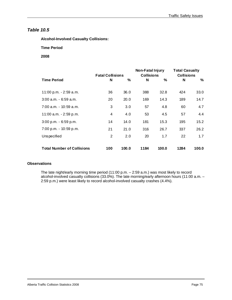**Alcohol-Involved Casualty Collisions:** 

 **Time Period** 

 **2008** 

|                                   | <b>Fatal Collisions</b> |       | Non-Fatal Injury<br><b>Collisions</b> |       | <b>Total Casualty</b><br><b>Collisions</b> |       |
|-----------------------------------|-------------------------|-------|---------------------------------------|-------|--------------------------------------------|-------|
| <b>Time Period</b>                | N                       | %     | N                                     | %     | N                                          | ℅     |
| 11:00 p.m. - 2:59 a.m.            | 36                      | 36.0  | 388                                   | 32.8  | 424                                        | 33.0  |
| $3:00$ a.m. $-6:59$ a.m.          | 20                      | 20.0  | 169                                   | 14.3  | 189                                        | 14.7  |
| 7:00 a.m. - 10:59 a.m.            | 3                       | 3.0   | 57                                    | 4.8   | 60                                         | 4.7   |
| 11:00 a.m. - 2:59 p.m.            | 4                       | 4.0   | 53                                    | 4.5   | 57                                         | 4.4   |
| $3:00$ p.m. - 6:59 p.m.           | 14                      | 14.0  | 181                                   | 15.3  | 195                                        | 15.2  |
| 7:00 p.m. - 10:59 p.m.            | 21                      | 21.0  | 316                                   | 26.7  | 337                                        | 26.2  |
| Unspecified                       | 2                       | 2.0   | 20                                    | 1.7   | 22                                         | 1.7   |
| <b>Total Number of Collisions</b> | 100                     | 100.0 | 1184                                  | 100.0 | 1284                                       | 100.0 |

### **Observations**

The late night/early morning time period (11:00 p.m. – 2:59 a.m.) was most likely to record alcohol-involved casualty collisions (33.0%). The late morning/early afternoon hours (11:00 a.m. – 2:59 p.m.) were least likely to record alcohol-involved casualty crashes (4.4%).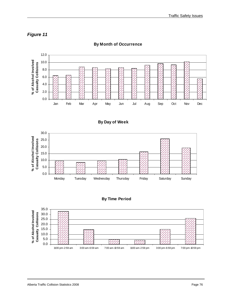



**By Month of Occurrence** 







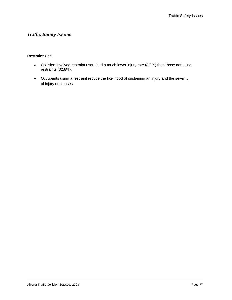# *Traffic Safety Issues*

## **Restraint Use**

- Collision-involved restraint users had a much lower injury rate (8.0%) than those not using restraints (32.8%).
- Occupants using a restraint reduce the likelihood of sustaining an injury and the severity of injury decreases.